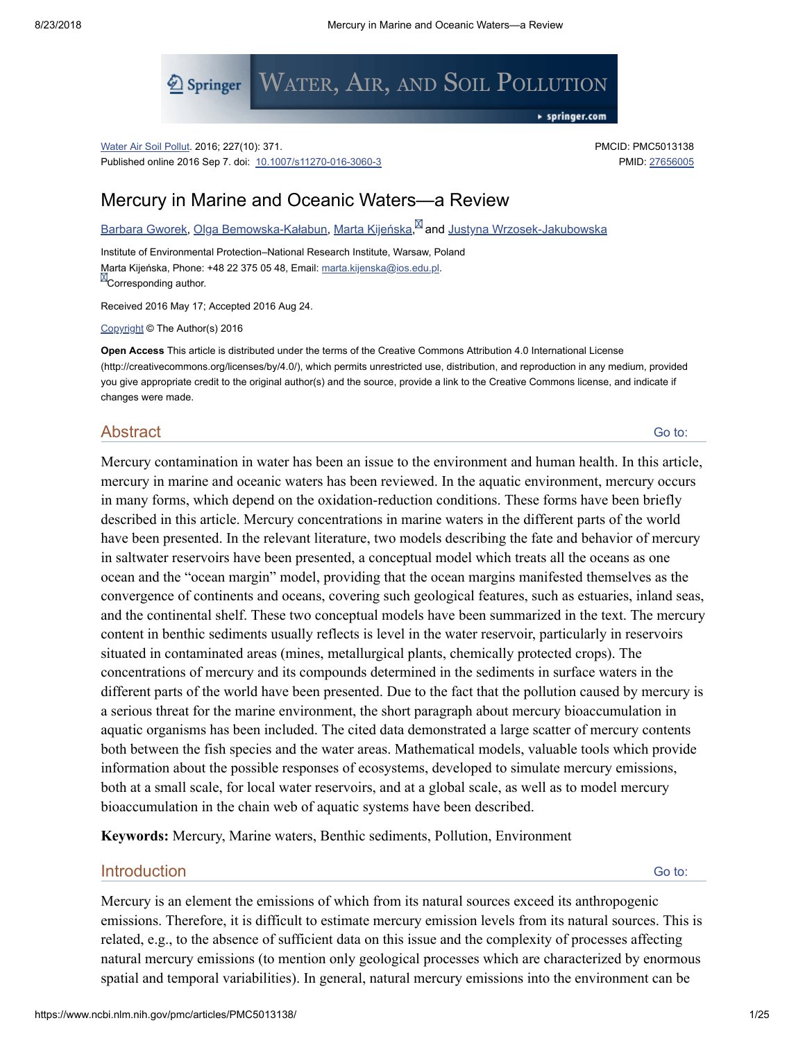**2 Springer** WATER, AIR, AND SOIL POLLUTION

» springer.com

Water Air Soil Pollut. 2016; 227(10): 371. Published online 2016 Sep 7. doi: [10.1007/s11270-016-3060-3](https://dx.doi.org/10.1007%2Fs11270-016-3060-3) PMCID: PMC5013138 PMID: [27656005](https://www.ncbi.nlm.nih.gov/pubmed/27656005)

# Mercury in Marine and Oceanic Waters—a Review

[Barbara](https://www.ncbi.nlm.nih.gov/pubmed/?term=Gworek%20B%5BAuthor%5D&cauthor=true&cauthor_uid=27656005) Gworek, Olga [Bemowska-Kałabun,](https://www.ncbi.nlm.nih.gov/pubmed/?term=Bemowska-Ka%26%23x00142%3Babun%20O%5BAuthor%5D&cauthor=true&cauthor_uid=27656005) Marta [Kijeńska](https://www.ncbi.nlm.nih.gov/pubmed/?term=Kije%26%23x00144%3Bska%20M%5BAuthor%5D&cauthor=true&cauthor_uid=27656005), and Justyna [Wrzosek-Jakubowska](https://www.ncbi.nlm.nih.gov/pubmed/?term=Wrzosek-Jakubowska%20J%5BAuthor%5D&cauthor=true&cauthor_uid=27656005)

Institute of Environmental Protection–National Research Institute, Warsaw, Poland Marta Kijeńska, Phone: +48 22 375 05 48, Email: [marta.kijenska@ios.edu.pl](mailto:dev@null). **X**Corresponding author.

Received 2016 May 17; Accepted 2016 Aug 24.

[Copyright](https://www.ncbi.nlm.nih.gov/pmc/about/copyright/) © The Author(s) 2016

**Open Access** This article is distributed under the terms of the Creative Commons Attribution 4.0 International License (http://creativecommons.org/licenses/by/4.0/), which permits unrestricted use, distribution, and reproduction in any medium, provided you give appropriate credit to the original author(s) and the source, provide a link to the Creative Commons license, and indicate if changes were made.

### Abstract

Mercury contamination in water has been an issue to the environment and human health. In this article, mercury in marine and oceanic waters has been reviewed. In the aquatic environment, mercury occurs in many forms, which depend on the oxidation-reduction conditions. These forms have been briefly described in this article. Mercury concentrations in marine waters in the different parts of the world have been presented. In the relevant literature, two models describing the fate and behavior of mercury in saltwater reservoirs have been presented, a conceptual model which treats all the oceans as one ocean and the "ocean margin" model, providing that the ocean margins manifested themselves as the convergence of continents and oceans, covering such geological features, such as estuaries, inland seas, and the continental shelf. These two conceptual models have been summarized in the text. The mercury content in benthic sediments usually reflects is level in the water reservoir, particularly in reservoirs situated in contaminated areas (mines, metallurgical plants, chemically protected crops). The concentrations of mercury and its compounds determined in the sediments in surface waters in the different parts of the world have been presented. Due to the fact that the pollution caused by mercury is a serious threat for the marine environment, the short paragraph about mercury bioaccumulation in aquatic organisms has been included. The cited data demonstrated a large scatter of mercury contents both between the fish species and the water areas. Mathematical models, valuable tools which provide information about the possible responses of ecosystems, developed to simulate mercury emissions, both at a small scale, for local water reservoirs, and at a global scale, as well as to model mercury bioaccumulation in the chain web of aquatic systems have been described.

**Keywords:** Mercury, Marine waters, Benthic sediments, Pollution, Environment

## **Introduction**

Go to:

Mercury is an element the emissions of which from its natural sources exceed its anthropogenic emissions. Therefore, it is difficult to estimate mercury emission levels from its natural sources. This is related, e.g., to the absence of sufficient data on this issue and the complexity of processes affecting natural mercury emissions (to mention only geological processes which are characterized by enormous spatial and temporal variabilities). In general, natural mercury emissions into the environment can be

Go to: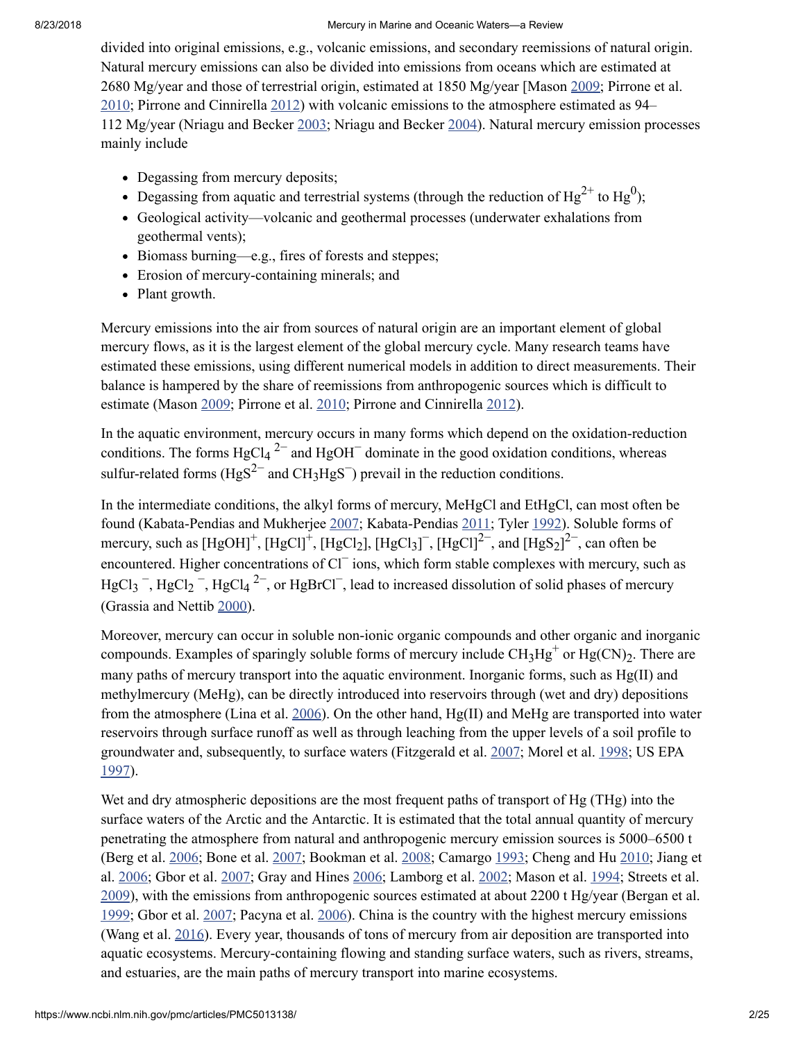divided into original emissions, e.g., volcanic emissions, and secondary reemissions of natural origin. Natural mercury emissions can also be divided into emissions from oceans which are estimated at 2680 Mg/year and those of terrestrial origin, estimated at 1850 Mg/year [Mason [2009](#page-20-0); Pirrone et al. [2010;](#page-22-0) Pirrone and Cinnirella [2012](#page-22-1)) with volcanic emissions to the atmosphere estimated as 94– 112 Mg/year (Nriagu and Becker [2003](#page-21-0); Nriagu and Becker [2004](#page-21-1)). Natural mercury emission processes mainly include

- Degassing from mercury deposits;
- Degassing from aquatic and terrestrial systems (through the reduction of  $\text{Hg}^{2+}$  to  $\text{Hg}^{0}$ );
- Geological activity—volcanic and geothermal processes (underwater exhalations from geothermal vents);
- Biomass burning—e.g., fires of forests and steppes;
- Erosion of mercury-containing minerals; and
- Plant growth.

Mercury emissions into the air from sources of natural origin are an important element of global mercury flows, as it is the largest element of the global mercury cycle. Many research teams have estimated these emissions, using different numerical models in addition to direct measurements. Their balance is hampered by the share of reemissions from anthropogenic sources which is difficult to estimate (Mason [2009](#page-20-0); Pirrone et al. [2010](#page-22-0); Pirrone and Cinnirella [2012\)](#page-22-1).

In the aquatic environment, mercury occurs in many forms which depend on the oxidation-reduction conditions. The forms  $HgCl_4^2$  and  $HgOH^-$  dominate in the good oxidation conditions, whereas sulfur-related forms (HgS<sup>2–</sup> and CH<sub>3</sub>HgS<sup>–</sup>) prevail in the reduction conditions.

In the intermediate conditions, the alkyl forms of mercury, MeHgCl and EtHgCl, can most often be found (Kabata-Pendias and Mukherjee [2007](#page-19-0); Kabata-Pendias [2011](#page-19-1); Tyler [1992](#page-23-0)). Soluble forms of mercury, such as  $[HgOH]^{+}$ ,  $[HgCl]^{+}$ ,  $[HgCl<sub>2</sub>]$ ,  $[HgCl<sub>3</sub>]<sup>-</sup>$ ,  $[HgCl]^{2-}$ , and  $[HgS<sub>2</sub>]<sup>2-</sup>$ , can often be encountered. Higher concentrations of Cl<sup>-</sup> ions, which form stable complexes with mercury, such as HgCl<sub>3</sub><sup>-</sup>, HgCl<sub>2</sub><sup>-</sup>, HgCl<sub>4</sub><sup>2-</sup>, or HgBrCl<sup>-</sup>, lead to increased dissolution of solid phases of mercury (Grassia and Nettib [2000\)](#page-18-0).

Moreover, mercury can occur in soluble non-ionic organic compounds and other organic and inorganic compounds. Examples of sparingly soluble forms of mercury include  $CH_3Hg^+$  or  $Hg(CN)_2$ . There are many paths of mercury transport into the aquatic environment. Inorganic forms, such as Hg(II) and methylmercury (MeHg), can be directly introduced into reservoirs through (wet and dry) depositions from the atmosphere (Lina et al. [2006\)](#page-20-1). On the other hand, Hg(II) and MeHg are transported into water reservoirs through surface runoff as well as through leaching from the upper levels of a soil profile to groundwater and, subsequently, to surface waters (Fitzgerald et al. [2007;](#page-18-1) Morel et al. [1998;](#page-21-2) US EPA [1997\)](#page-23-1).

Wet and dry atmospheric depositions are the most frequent paths of transport of Hg (THg) into the surface waters of the Arctic and the Antarctic. It is estimated that the total annual quantity of mercury penetrating the atmosphere from natural and anthropogenic mercury emission sources is 5000–6500 t (Berg et al. [2006](#page-17-0); Bone et al. [2007](#page-17-1); Bookman et al. [2008;](#page-17-2) Camargo [1993](#page-17-3); Cheng and Hu [2010](#page-17-4); Jiang et al. [2006](#page-19-2); Gbor et al. [2007;](#page-18-2) Gray and Hines [2006;](#page-19-3) Lamborg et al. [2002](#page-20-2); Mason et al. [1994;](#page-21-3) Streets et al. [2009\)](#page-23-2), with the emissions from anthropogenic sources estimated at about 2200 t Hg/year (Bergan et al. [1999;](#page-17-5) Gbor et al. [2007;](#page-18-2) Pacyna et al. [2006\)](#page-22-2). China is the country with the highest mercury emissions (Wang et al. [2016](#page-24-0)). Every year, thousands of tons of mercury from air deposition are transported into aquatic ecosystems. Mercury-containing flowing and standing surface waters, such as rivers, streams, and estuaries, are the main paths of mercury transport into marine ecosystems.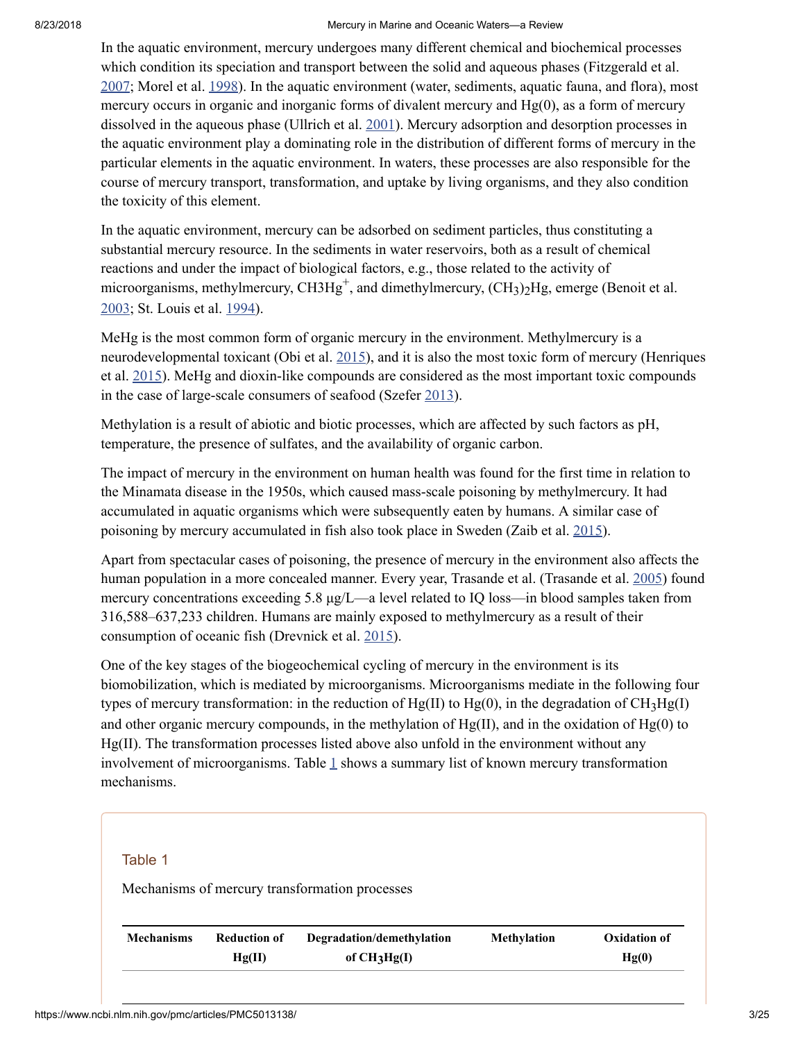In the aquatic environment, mercury undergoes many different chemical and biochemical processes which condition its speciation and transport between the solid and aqueous phases (Fitzgerald et al. [2007;](#page-18-1) Morel et al. [1998](#page-21-2)). In the aquatic environment (water, sediments, aquatic fauna, and flora), most mercury occurs in organic and inorganic forms of divalent mercury and Hg(0), as a form of mercury dissolved in the aqueous phase (Ullrich et al. [2001\)](#page-23-3). Mercury adsorption and desorption processes in the aquatic environment play a dominating role in the distribution of different forms of mercury in the particular elements in the aquatic environment. In waters, these processes are also responsible for the course of mercury transport, transformation, and uptake by living organisms, and they also condition the toxicity of this element.

In the aquatic environment, mercury can be adsorbed on sediment particles, thus constituting a substantial mercury resource. In the sediments in water reservoirs, both as a result of chemical reactions and under the impact of biological factors, e.g., those related to the activity of microorganisms, methylmercury, CH3Hg<sup>+</sup>, and dimethylmercury,  $(CH_3)_2Hg$ , emerge (Benoit et al. [2003;](#page-16-0) St. Louis et al. [1994](#page-22-3)).

MeHg is the most common form of organic mercury in the environment. Methylmercury is a neurodevelopmental toxicant (Obi et al. [2015](#page-21-4)), and it is also the most toxic form of mercury (Henriques et al. [2015](#page-19-4)). MeHg and dioxin-like compounds are considered as the most important toxic compounds in the case of large-scale consumers of seafood (Szefer [2013](#page-23-4)).

Methylation is a result of abiotic and biotic processes, which are affected by such factors as pH, temperature, the presence of sulfates, and the availability of organic carbon.

The impact of mercury in the environment on human health was found for the first time in relation to the Minamata disease in the 1950s, which caused mass-scale poisoning by methylmercury. It had accumulated in aquatic organisms which were subsequently eaten by humans. A similar case of poisoning by mercury accumulated in fish also took place in Sweden (Zaib et al. [2015](#page-24-1)).

Apart from spectacular cases of poisoning, the presence of mercury in the environment also affects the human population in a more concealed manner. Every year, Trasande et al. (Trasande et al. [2005\)](#page-23-5) found mercury concentrations exceeding 5.8 μg/L—a level related to IQ loss—in blood samples taken from 316,588–637,233 children. Humans are mainly exposed to methylmercury as a result of their consumption of oceanic fish (Drevnick et al. [2015](#page-18-3)).

One of the key stages of the biogeochemical cycling of mercury in the environment is its biomobilization, which is mediated by microorganisms. Microorganisms mediate in the following four types of mercury transformation: in the reduction of  $Hg(II)$  to  $Hg(0)$ , in the degradation of  $CH_3Hg(I)$ and other organic mercury compounds, in the methylation of  $Hg(II)$ , and in the oxidation of  $Hg(0)$  to Hg(II). The transformation processes listed above also unfold in the environment without any involvement of microorganisms. Table  $1$  shows a summary list of known mercury transformation mechanisms.

### Table 1

Mechanisms of mercury transformation processes

| <b>Mechanisms</b> | <b>Reduction of</b> | Degradation/demethylation | <b>Methylation</b> | <b>Oxidation of</b> |
|-------------------|---------------------|---------------------------|--------------------|---------------------|
|                   | Hg(II)              | of $CH_3Hg(I)$            |                    | Hg(0)               |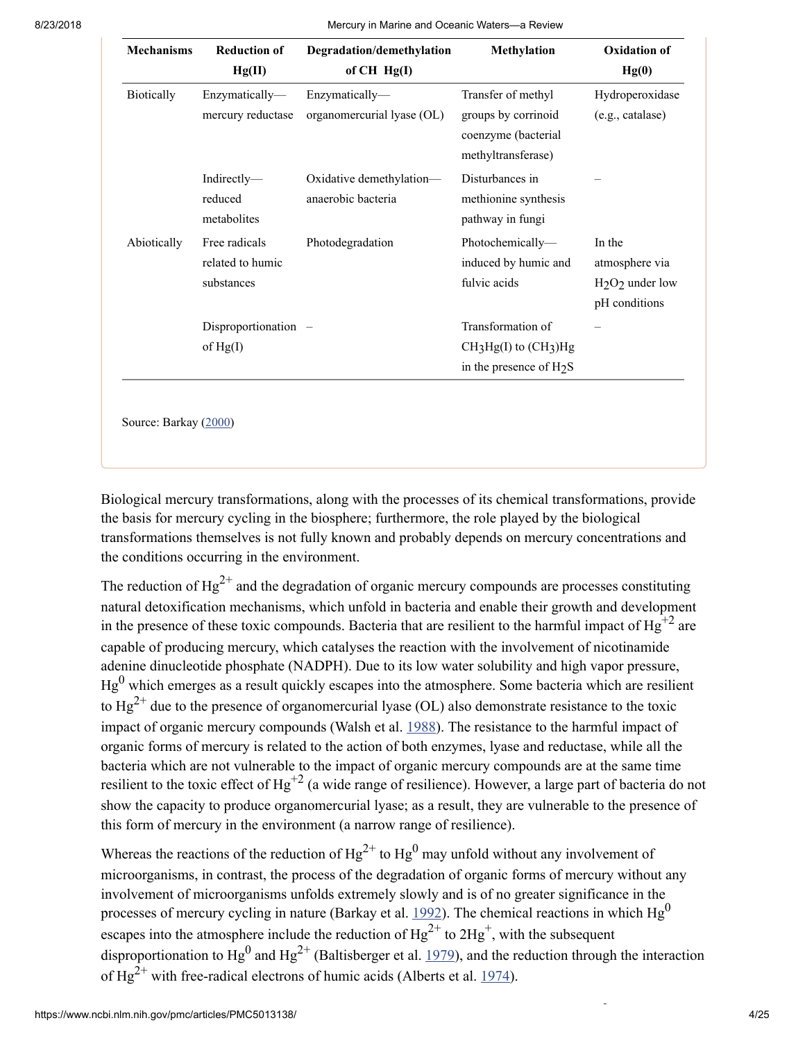| <b>Mechanisms</b> | <b>Reduction of</b><br>Hg(II)                   | Degradation/demethylation<br>of $CH$ $Hg(I)$   | <b>Methylation</b>                                                                              | <b>Oxidation of</b><br>Hg(0)                                  |
|-------------------|-------------------------------------------------|------------------------------------------------|-------------------------------------------------------------------------------------------------|---------------------------------------------------------------|
| Biotically        | Enzymatically-<br>mercury reductase             | Enzymatically-<br>organomercurial lyase (OL)   | Transfer of methyl<br>groups by corrinoid<br>coenzyme (bacterial<br>methyltransferase)          | Hydroperoxidase<br>(e.g., catalase)                           |
|                   | Indirectly—<br>reduced<br>metabolites           | Oxidative demethylation-<br>anaerobic bacteria | Disturbances in<br>methionine synthesis<br>pathway in fungi                                     |                                                               |
| Abiotically       | Free radicals<br>related to humic<br>substances | Photodegradation                               | Photochemically-<br>induced by humic and<br>fulvic acids                                        | In the<br>atmosphere via<br>$H2O2$ under low<br>pH conditions |
|                   | Disproportionation -<br>of $Hg(I)$              |                                                | Transformation of<br>CH <sub>3</sub> Hg(I) to (CH <sub>3</sub> )Hg<br>in the presence of $H_2S$ |                                                               |

Biological mercury transformations, along with the processes of its chemical transformations, provide the basis for mercury cycling in the biosphere; furthermore, the role played by the biological transformations themselves is not fully known and probably depends on mercury concentrations and the conditions occurring in the environment.

The reduction of  $Hg^{2+}$  and the degradation of organic mercury compounds are processes constituting natural detoxification mechanisms, which unfold in bacteria and enable their growth and development in the presence of these toxic compounds. Bacteria that are resilient to the harmful impact of  $Hg<sup>+2</sup>$  are capable of producing mercury, which catalyses the reaction with the involvement of nicotinamide adenine dinucleotide phosphate (NADPH). Due to its low water solubility and high vapor pressure,  $Hg<sup>0</sup>$  which emerges as a result quickly escapes into the atmosphere. Some bacteria which are resilient to  $Hg^{2+}$  due to the presence of organomercurial lyase (OL) also demonstrate resistance to the toxic impact of organic mercury compounds (Walsh et al. [1988](#page-23-6)). The resistance to the harmful impact of organic forms of mercury is related to the action of both enzymes, lyase and reductase, while all the bacteria which are not vulnerable to the impact of organic mercury compounds are at the same time resilient to the toxic effect of  $Hg^{+2}$  (a wide range of resilience). However, a large part of bacteria do not show the capacity to produce organomercurial lyase; as a result, they are vulnerable to the presence of this form of mercury in the environment (a narrow range of resilience).

Whereas the reactions of the reduction of  $Hg^{2+}$  to  $Hg^0$  may unfold without any involvement of microorganisms, in contrast, the process of the degradation of organic forms of mercury without any involvement of microorganisms unfolds extremely slowly and is of no greater significance in the processes of mercury cycling in nature (Barkay et al.  $1992$ ). The chemical reactions in which  $Hg^0$ escapes into the atmosphere include the reduction of  $Hg^{2+}$  to  $2Hg^{+}$ , with the subsequent disproportionation to Hg<sup>0</sup> and Hg<sup>2+</sup> (Baltisberger et al. [1979\)](#page-16-3), and the reduction through the interaction of  $Hg^{2+}$  with free-radical electrons of humic acids (Alberts et al. [1974\)](#page-16-4).

2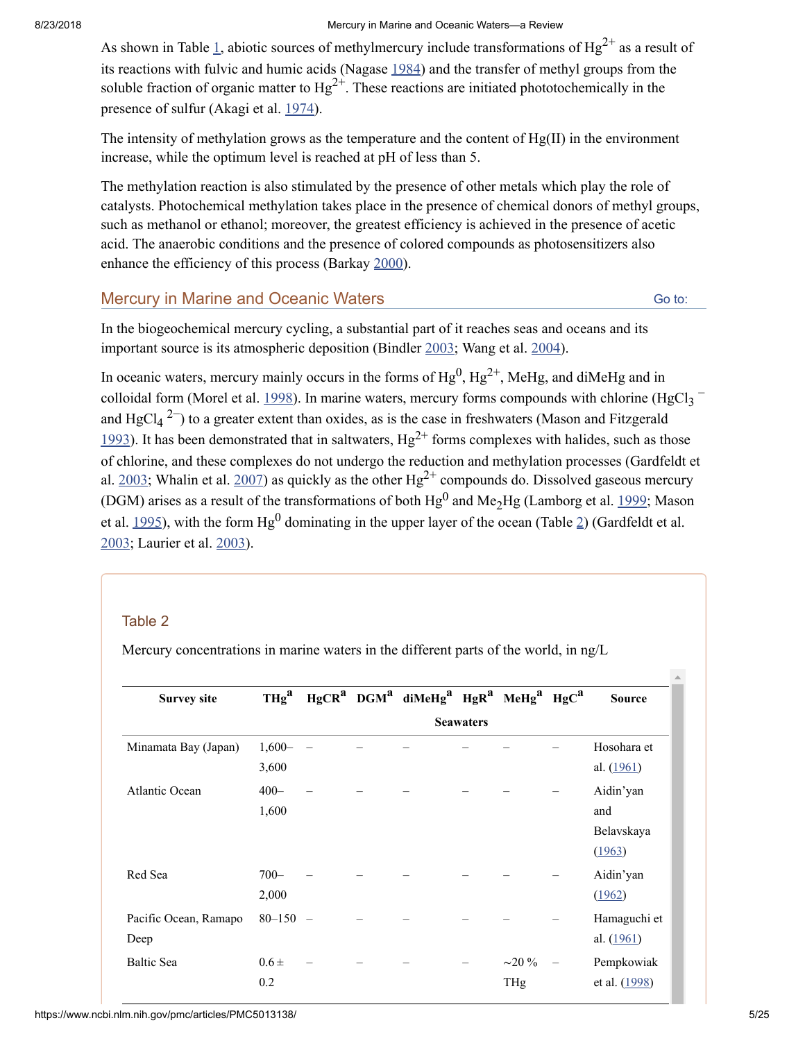As shown in Table  $\perp$ , abiotic sources of methylmercury include transformations of Hg<sup>2+</sup> as a result of its reactions with fulvic and humic acids (Nagase [1984](#page-21-5)) and the transfer of methyl groups from the soluble fraction of organic matter to  $Hg^{2+}$ . These reactions are initiated phototochemically in the presence of sulfur (Akagi et al. [1974](#page-16-5)).

The intensity of methylation grows as the temperature and the content of Hg(II) in the environment increase, while the optimum level is reached at pH of less than 5.

The methylation reaction is also stimulated by the presence of other metals which play the role of catalysts. Photochemical methylation takes place in the presence of chemical donors of methyl groups, such as methanol or ethanol; moreover, the greatest efficiency is achieved in the presence of acetic acid. The anaerobic conditions and the presence of colored compounds as photosensitizers also enhance the efficiency of this process (Barkay [2000](#page-16-1)).

# Mercury in Marine and Oceanic Waters

Go to:

 $\Delta$ 

In the biogeochemical mercury cycling, a substantial part of it reaches seas and oceans and its important source is its atmospheric deposition (Bindler [2003](#page-17-6); Wang et al. [2004\)](#page-23-7).

In oceanic waters, mercury mainly occurs in the forms of  $Hg^0$ ,  $Hg^{2+}$ , MeHg, and diMeHg and in colloidal form (Morel et al.  $1998$ ). In marine waters, mercury forms compounds with chlorine (HgCl<sub>3</sub><sup>-</sup> and  $HgCl_4^2^-$  to a greater extent than oxides, as is the case in freshwaters (Mason and Fitzgerald [1993\)](#page-20-3). It has been demonstrated that in saltwaters,  $Hg^{2+}$  forms complexes with halides, such as those of chlorine, and these complexes do not undergo the reduction and methylation processes (Gardfeldt et al. [2003](#page-18-4); Whalin et al. [2007](#page-24-2)) as quickly as the other  $Hg^{2+}$  compounds do. Dissolved gaseous mercury (DGM) arises as a result of the transformations of both  $Hg^0$  and  $Me<sub>2</sub>Hg$  (Lamborg et al. [1999](#page-20-4); Mason et al. [1995](#page-21-6)), with the form Hg<sup>0</sup> dominating in the upper layer of the ocean (Table [2](https://www.ncbi.nlm.nih.gov/pmc/articles/PMC5013138/table/Tab2/)) (Gardfeldt et al. [2003;](#page-18-4) Laurier et al. [2003](#page-20-5)).

## Table 2

Mercury concentrations in marine waters in the different parts of the world, in ng/L

| THg <sup>a</sup> |                          |              |  |                  |                          | <b>Source</b>                                                                                              |
|------------------|--------------------------|--------------|--|------------------|--------------------------|------------------------------------------------------------------------------------------------------------|
|                  |                          |              |  |                  |                          |                                                                                                            |
| $1,600-$         | $\overline{\phantom{m}}$ |              |  |                  |                          | Hosohara et                                                                                                |
| 3,600            |                          |              |  |                  |                          | al. $(1961)$                                                                                               |
| $400 -$          |                          |              |  |                  |                          | Aidin'yan                                                                                                  |
| 1,600            |                          |              |  |                  |                          | and                                                                                                        |
|                  |                          |              |  |                  |                          | Belavskaya                                                                                                 |
|                  |                          |              |  |                  |                          | (1963)                                                                                                     |
| $700 -$          |                          |              |  |                  |                          | Aidin'yan                                                                                                  |
| 2,000            |                          |              |  |                  |                          | (1962)                                                                                                     |
|                  |                          |              |  |                  |                          | Hamaguchi et                                                                                               |
|                  |                          |              |  |                  |                          | al. (1961)                                                                                                 |
| $0.6 \pm$        |                          |              |  | $\sim$ 20 %      | $\overline{\phantom{a}}$ | Pempkowiak                                                                                                 |
| 0.2              |                          |              |  | THg              |                          | et al. (1998)                                                                                              |
|                  |                          | $80 - 150 -$ |  | <b>Seawaters</b> |                          | HgCR <sup>a</sup> DGM <sup>a</sup> diMeHg <sup>a</sup> HgR <sup>a</sup> MeHg <sup>a</sup> HgC <sup>a</sup> |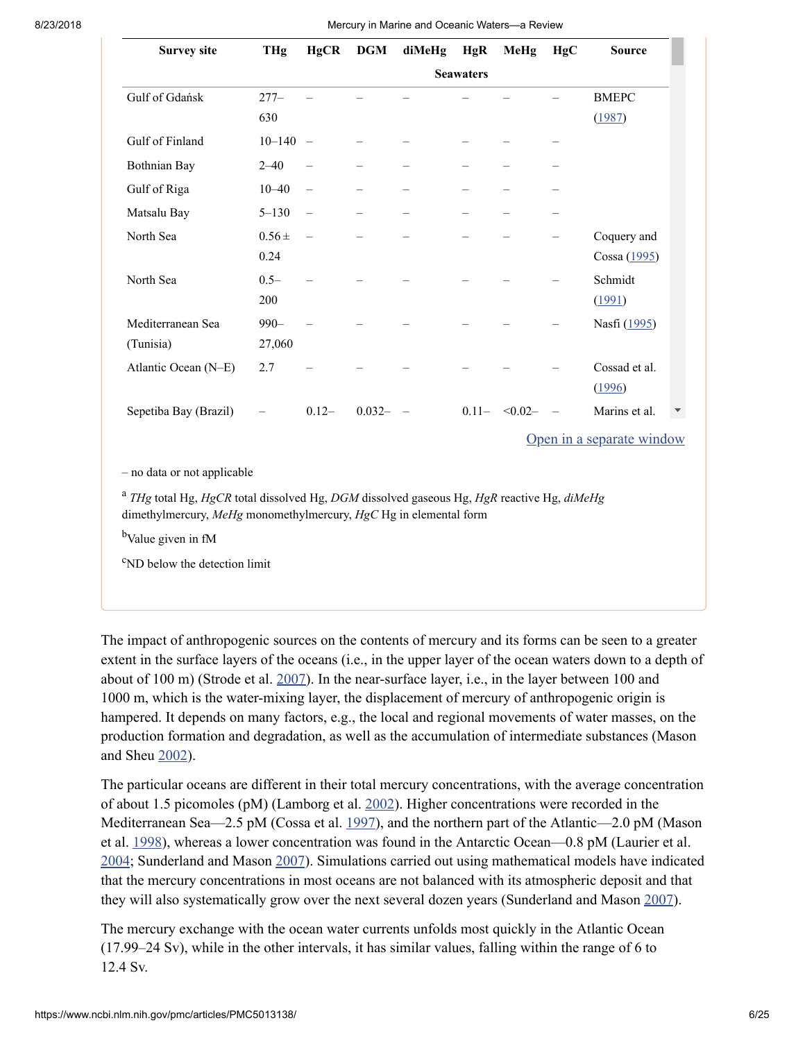| <b>Survey site</b>                                                                                    | THg          | HgCR                     | <b>DGM</b>               | diMeHg | HgR                      | MeHg       | HgC                      | <b>Source</b>             |
|-------------------------------------------------------------------------------------------------------|--------------|--------------------------|--------------------------|--------|--------------------------|------------|--------------------------|---------------------------|
|                                                                                                       |              |                          |                          |        | <b>Seawaters</b>         |            |                          |                           |
| Gulf of Gdańsk                                                                                        | $277-$       |                          |                          |        |                          |            |                          | <b>BMEPC</b>              |
|                                                                                                       | 630          |                          |                          |        |                          |            |                          | (1987)                    |
| Gulf of Finland                                                                                       | $10 - 140 -$ |                          |                          |        |                          |            |                          |                           |
| <b>Bothnian Bay</b>                                                                                   | $2 - 40$     |                          |                          |        |                          |            |                          |                           |
| Gulf of Riga                                                                                          | $10 - 40$    | $\overline{\phantom{0}}$ | $\overline{\phantom{0}}$ |        |                          |            |                          |                           |
| Matsalu Bay                                                                                           | $5 - 130$    | $\overline{\phantom{0}}$ | $\overline{\phantom{0}}$ |        | $\overline{\phantom{0}}$ |            | —                        |                           |
| North Sea                                                                                             | $0.56 \pm$   |                          |                          |        |                          |            |                          | Coquery and               |
|                                                                                                       | 0.24         |                          |                          |        |                          |            |                          | Cossa (1995)              |
| North Sea                                                                                             | $0.5 -$      |                          |                          |        |                          |            |                          | Schmidt                   |
|                                                                                                       | 200          |                          |                          |        |                          |            |                          | (1991)                    |
| Mediterranean Sea                                                                                     | $990 -$      |                          |                          |        |                          |            |                          | Nasfi (1995)              |
| (Tunisia)                                                                                             | 27,060       |                          |                          |        |                          |            |                          |                           |
| Atlantic Ocean (N-E)                                                                                  | 2.7          |                          |                          |        |                          |            |                          | Cossad et al.             |
|                                                                                                       |              |                          |                          |        |                          |            |                          | (1996)                    |
| Sepetiba Bay (Brazil)                                                                                 |              | $0.12 -$                 | $0.032 -$                |        | $0.11-$                  | $< 0.02 -$ | $\overline{\phantom{0}}$ | Marins et al.             |
|                                                                                                       |              |                          |                          |        |                          |            |                          | Open in a separate window |
| - no data or not applicable                                                                           |              |                          |                          |        |                          |            |                          |                           |
| <sup>a</sup> THg total Hg, HgCR total dissolved Hg, DGM dissolved gaseous Hg, HgR reactive Hg, diMeHg |              |                          |                          |        |                          |            |                          |                           |

dimethylmercury, *MeHg* monomethylmercury, *HgC* Hg in elemental form

<sup>b</sup>Value given in fM

<sup>c</sup>ND below the detection limit

The impact of anthropogenic sources on the contents of mercury and its forms can be seen to a greater extent in the surface layers of the oceans (i.e., in the upper layer of the ocean waters down to a depth of about of 100 m) (Strode et al. [2007](#page-23-8)). In the near-surface layer, i.e., in the layer between 100 and 1000 m, which is the water-mixing layer, the displacement of mercury of anthropogenic origin is hampered. It depends on many factors, e.g., the local and regional movements of water masses, on the production formation and degradation, as well as the accumulation of intermediate substances (Mason and Sheu [2002\)](#page-21-7).

The particular oceans are different in their total mercury concentrations, with the average concentration of about 1.5 picomoles (pM) (Lamborg et al. [2002](#page-20-2)). Higher concentrations were recorded in the Mediterranean Sea—2.5 pM (Cossa et al. [1997\)](#page-18-5), and the northern part of the Atlantic—2.0 pM (Mason et al. [1998](#page-21-8)), whereas a lower concentration was found in the Antarctic Ocean—0.8 pM (Laurier et al. [2004;](#page-20-6) Sunderland and Mason [2007\)](#page-23-9). Simulations carried out using mathematical models have indicated that the mercury concentrations in most oceans are not balanced with its atmospheric deposit and that they will also systematically grow over the next several dozen years (Sunderland and Mason [2007\)](#page-23-9).

The mercury exchange with the ocean water currents unfolds most quickly in the Atlantic Ocean (17.99–24 Sv), while in the other intervals, it has similar values, falling within the range of 6 to 12.4 Sv.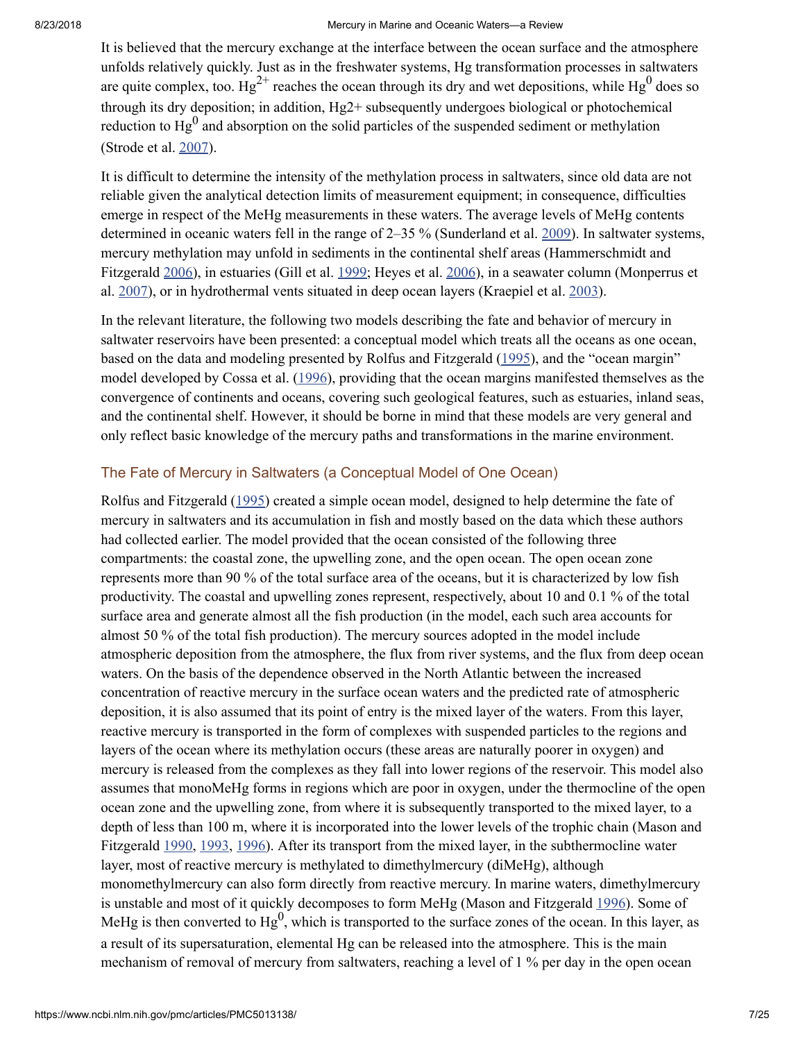It is believed that the mercury exchange at the interface between the ocean surface and the atmosphere unfolds relatively quickly. Just as in the freshwater systems, Hg transformation processes in saltwaters are quite complex, too. Hg<sup>2+</sup> reaches the ocean through its dry and wet depositions, while Hg<sup>0</sup> does so through its dry deposition; in addition, Hg2+ subsequently undergoes biological or photochemical reduction to  $Hg^0$  and absorption on the solid particles of the suspended sediment or methylation (Strode et al. [2007\)](#page-23-8).

It is difficult to determine the intensity of the methylation process in saltwaters, since old data are not reliable given the analytical detection limits of measurement equipment; in consequence, difficulties emerge in respect of the MeHg measurements in these waters. The average levels of MeHg contents determined in oceanic waters fell in the range of 2–35 % (Sunderland et al. [2009](#page-23-10)). In saltwater systems, mercury methylation may unfold in sediments in the continental shelf areas (Hammerschmidt and Fitzgerald [2006\)](#page-19-7), in estuaries (Gill et al. [1999](#page-18-6); Heyes et al. [2006\)](#page-19-8), in a seawater column (Monperrus et al. [2007](#page-21-10)), or in hydrothermal vents situated in deep ocean layers (Kraepiel et al. [2003](#page-20-7)).

In the relevant literature, the following two models describing the fate and behavior of mercury in saltwater reservoirs have been presented: a conceptual model which treats all the oceans as one ocean, based on the data and modeling presented by Rolfus and Fitzgerald [\(1995\)](#page-22-6), and the "ocean margin" model developed by Cossa et al. ([1996\)](#page-17-9), providing that the ocean margins manifested themselves as the convergence of continents and oceans, covering such geological features, such as estuaries, inland seas, and the continental shelf. However, it should be borne in mind that these models are very general and only reflect basic knowledge of the mercury paths and transformations in the marine environment.

## The Fate of Mercury in Saltwaters (a Conceptual Model of One Ocean)

Rolfus and Fitzgerald ([1995\)](#page-22-6) created a simple ocean model, designed to help determine the fate of mercury in saltwaters and its accumulation in fish and mostly based on the data which these authors had collected earlier. The model provided that the ocean consisted of the following three compartments: the coastal zone, the upwelling zone, and the open ocean. The open ocean zone represents more than 90 % of the total surface area of the oceans, but it is characterized by low fish productivity. The coastal and upwelling zones represent, respectively, about 10 and 0.1 % of the total surface area and generate almost all the fish production (in the model, each such area accounts for almost 50 % of the total fish production). The mercury sources adopted in the model include atmospheric deposition from the atmosphere, the flux from river systems, and the flux from deep ocean waters. On the basis of the dependence observed in the North Atlantic between the increased concentration of reactive mercury in the surface ocean waters and the predicted rate of atmospheric deposition, it is also assumed that its point of entry is the mixed layer of the waters. From this layer, reactive mercury is transported in the form of complexes with suspended particles to the regions and layers of the ocean where its methylation occurs (these areas are naturally poorer in oxygen) and mercury is released from the complexes as they fall into lower regions of the reservoir. This model also assumes that monoMeHg forms in regions which are poor in oxygen, under the thermocline of the open ocean zone and the upwelling zone, from where it is subsequently transported to the mixed layer, to a depth of less than 100 m, where it is incorporated into the lower levels of the trophic chain (Mason and Fitzgerald [1990,](#page-20-8) [1993,](#page-20-3) [1996](#page-20-9)). After its transport from the mixed layer, in the subthermocline water layer, most of reactive mercury is methylated to dimethylmercury (diMeHg), although monomethylmercury can also form directly from reactive mercury. In marine waters, dimethylmercury is unstable and most of it quickly decomposes to form MeHg (Mason and Fitzgerald [1996\)](#page-20-9). Some of MeHg is then converted to  $Hg^0$ , which is transported to the surface zones of the ocean. In this layer, as a result of its supersaturation, elemental Hg can be released into the atmosphere. This is the main mechanism of removal of mercury from saltwaters, reaching a level of 1 % per day in the open ocean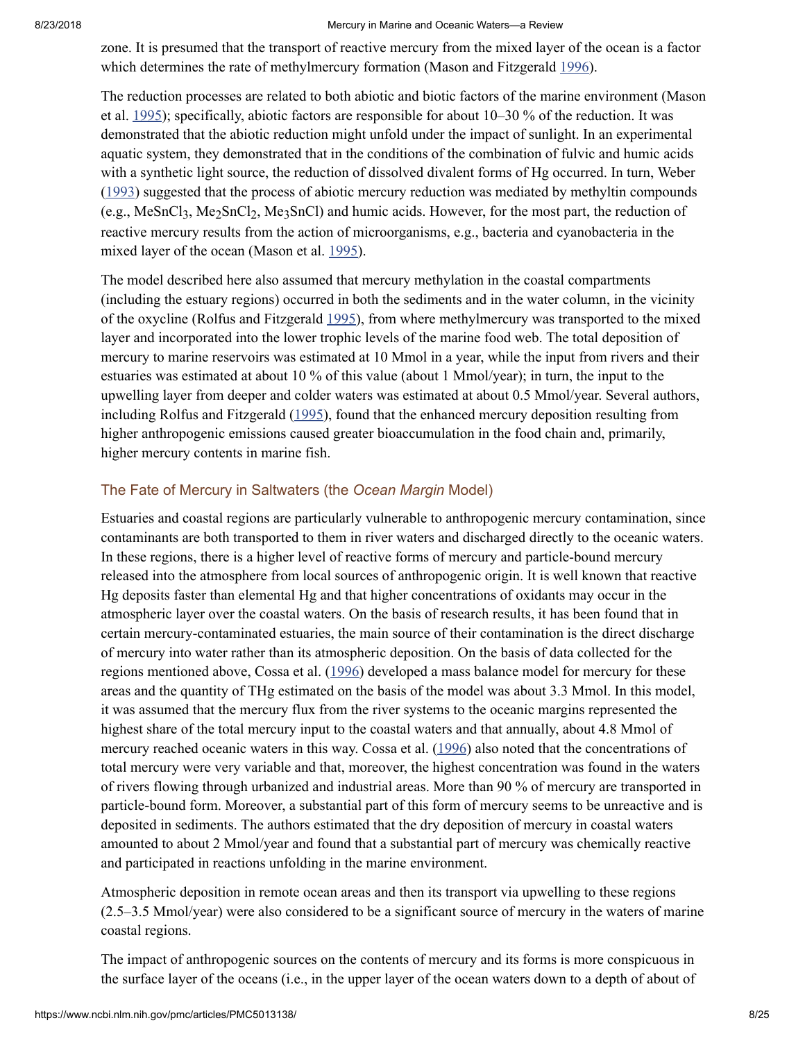zone. It is presumed that the transport of reactive mercury from the mixed layer of the ocean is a factor which determines the rate of methylmercury formation (Mason and Fitzgerald [1996](#page-20-9)).

The reduction processes are related to both abiotic and biotic factors of the marine environment (Mason et al. [1995](#page-21-6)); specifically, abiotic factors are responsible for about 10–30 % of the reduction. It was demonstrated that the abiotic reduction might unfold under the impact of sunlight. In an experimental aquatic system, they demonstrated that in the conditions of the combination of fulvic and humic acids with a synthetic light source, the reduction of dissolved divalent forms of Hg occurred. In turn, Weber [\(1993\)](#page-24-3) suggested that the process of abiotic mercury reduction was mediated by methyltin compounds (e.g., MeSnCl<sub>3</sub>, Me<sub>2</sub>SnCl<sub>2</sub>, Me<sub>3</sub>SnCl) and humic acids. However, for the most part, the reduction of reactive mercury results from the action of microorganisms, e.g., bacteria and cyanobacteria in the mixed layer of the ocean (Mason et al. [1995\)](#page-21-6).

The model described here also assumed that mercury methylation in the coastal compartments (including the estuary regions) occurred in both the sediments and in the water column, in the vicinity of the oxycline (Rolfus and Fitzgerald [1995\)](#page-22-6), from where methylmercury was transported to the mixed layer and incorporated into the lower trophic levels of the marine food web. The total deposition of mercury to marine reservoirs was estimated at 10 Mmol in a year, while the input from rivers and their estuaries was estimated at about 10 % of this value (about 1 Mmol/year); in turn, the input to the upwelling layer from deeper and colder waters was estimated at about 0.5 Mmol/year. Several authors, including Rolfus and Fitzgerald ([1995](#page-22-6)), found that the enhanced mercury deposition resulting from higher anthropogenic emissions caused greater bioaccumulation in the food chain and, primarily, higher mercury contents in marine fish.

## The Fate of Mercury in Saltwaters (the *Ocean Margin* Model)

Estuaries and coastal regions are particularly vulnerable to anthropogenic mercury contamination, since contaminants are both transported to them in river waters and discharged directly to the oceanic waters. In these regions, there is a higher level of reactive forms of mercury and particle-bound mercury released into the atmosphere from local sources of anthropogenic origin. It is well known that reactive Hg deposits faster than elemental Hg and that higher concentrations of oxidants may occur in the atmospheric layer over the coastal waters. On the basis of research results, it has been found that in certain mercury-contaminated estuaries, the main source of their contamination is the direct discharge of mercury into water rather than its atmospheric deposition. On the basis of data collected for the regions mentioned above, Cossa et al. [\(1996](#page-17-9)) developed a mass balance model for mercury for these areas and the quantity of THg estimated on the basis of the model was about 3.3 Mmol. In this model, it was assumed that the mercury flux from the river systems to the oceanic margins represented the highest share of the total mercury input to the coastal waters and that annually, about 4.8 Mmol of mercury reached oceanic waters in this way. Cossa et al. ([1996](#page-17-9)) also noted that the concentrations of total mercury were very variable and that, moreover, the highest concentration was found in the waters of rivers flowing through urbanized and industrial areas. More than 90 % of mercury are transported in particle-bound form. Moreover, a substantial part of this form of mercury seems to be unreactive and is deposited in sediments. The authors estimated that the dry deposition of mercury in coastal waters amounted to about 2 Mmol/year and found that a substantial part of mercury was chemically reactive and participated in reactions unfolding in the marine environment.

Atmospheric deposition in remote ocean areas and then its transport via upwelling to these regions (2.5–3.5 Mmol/year) were also considered to be a significant source of mercury in the waters of marine coastal regions.

The impact of anthropogenic sources on the contents of mercury and its forms is more conspicuous in the surface layer of the oceans (i.e., in the upper layer of the ocean waters down to a depth of about of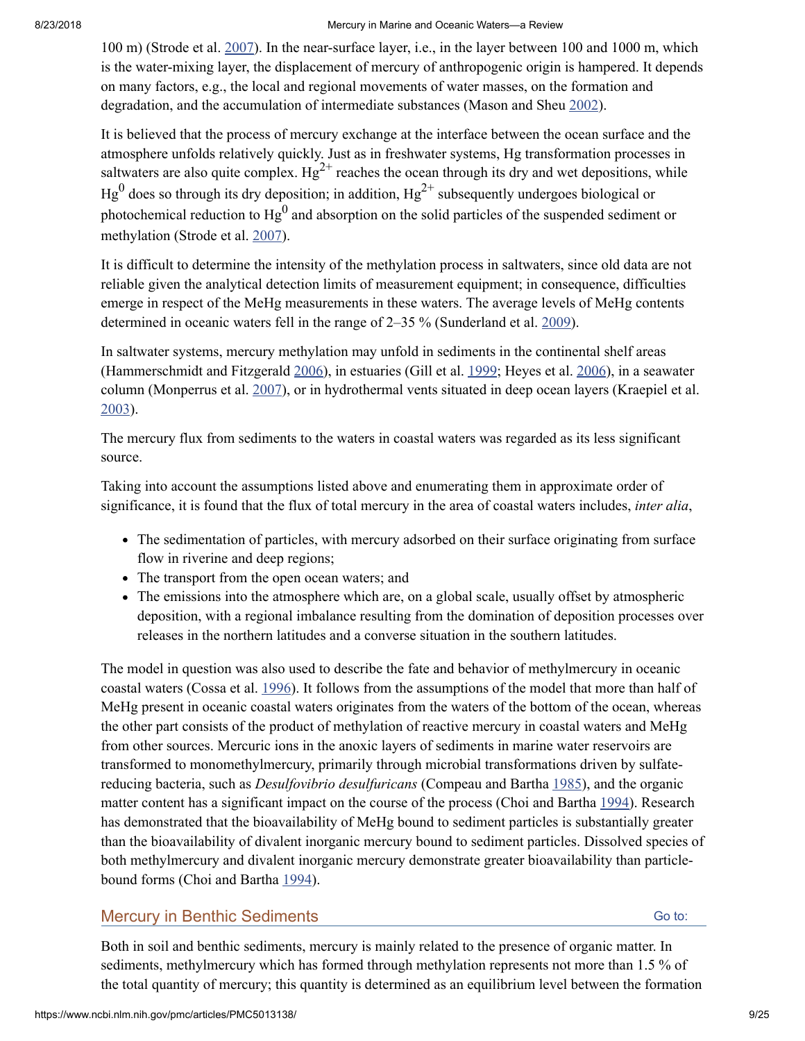100 m) (Strode et al. [2007](#page-23-8)). In the near-surface layer, i.e., in the layer between 100 and 1000 m, which is the water-mixing layer, the displacement of mercury of anthropogenic origin is hampered. It depends on many factors, e.g., the local and regional movements of water masses, on the formation and degradation, and the accumulation of intermediate substances (Mason and Sheu [2002](#page-21-7)).

It is believed that the process of mercury exchange at the interface between the ocean surface and the atmosphere unfolds relatively quickly. Just as in freshwater systems, Hg transformation processes in saltwaters are also quite complex.  $Hg^{2+}$  reaches the ocean through its dry and wet depositions, while  $Hg^0$  does so through its dry deposition; in addition,  $Hg^{2+}$  subsequently undergoes biological or photochemical reduction to  $Hg^0$  and absorption on the solid particles of the suspended sediment or methylation (Strode et al. [2007](#page-23-8)).

It is difficult to determine the intensity of the methylation process in saltwaters, since old data are not reliable given the analytical detection limits of measurement equipment; in consequence, difficulties emerge in respect of the MeHg measurements in these waters. The average levels of MeHg contents determined in oceanic waters fell in the range of 2–35 % (Sunderland et al. [2009](#page-23-10)).

In saltwater systems, mercury methylation may unfold in sediments in the continental shelf areas (Hammerschmidt and Fitzgerald [2006\)](#page-19-7), in estuaries (Gill et al. [1999](#page-18-6); Heyes et al. [2006](#page-19-8)), in a seawater column (Monperrus et al. [2007](#page-21-10)), or in hydrothermal vents situated in deep ocean layers (Kraepiel et al. [2003\)](#page-20-7).

The mercury flux from sediments to the waters in coastal waters was regarded as its less significant source.

Taking into account the assumptions listed above and enumerating them in approximate order of significance, it is found that the flux of total mercury in the area of coastal waters includes, *inter alia*,

- The sedimentation of particles, with mercury adsorbed on their surface originating from surface flow in riverine and deep regions;
- The transport from the open ocean waters; and
- The emissions into the atmosphere which are, on a global scale, usually offset by atmospheric deposition, with a regional imbalance resulting from the domination of deposition processes over releases in the northern latitudes and a converse situation in the southern latitudes.

The model in question was also used to describe the fate and behavior of methylmercury in oceanic coastal waters (Cossa et al. [1996](#page-17-9)). It follows from the assumptions of the model that more than half of MeHg present in oceanic coastal waters originates from the waters of the bottom of the ocean, whereas the other part consists of the product of methylation of reactive mercury in coastal waters and MeHg from other sources. Mercuric ions in the anoxic layers of sediments in marine water reservoirs are transformed to monomethylmercury, primarily through microbial transformations driven by sulfatereducing bacteria, such as *Desulfovibrio desulfuricans* (Compeau and Bartha [1985](#page-17-10)), and the organic matter content has a significant impact on the course of the process (Choi and Bartha [1994\)](#page-17-11). Research has demonstrated that the bioavailability of MeHg bound to sediment particles is substantially greater than the bioavailability of divalent inorganic mercury bound to sediment particles. Dissolved species of both methylmercury and divalent inorganic mercury demonstrate greater bioavailability than particle-bound forms (Choi and Bartha [1994](#page-17-11)).

# Mercury in Benthic Sediments

Go to:

Both in soil and benthic sediments, mercury is mainly related to the presence of organic matter. In sediments, methylmercury which has formed through methylation represents not more than 1.5 % of the total quantity of mercury; this quantity is determined as an equilibrium level between the formation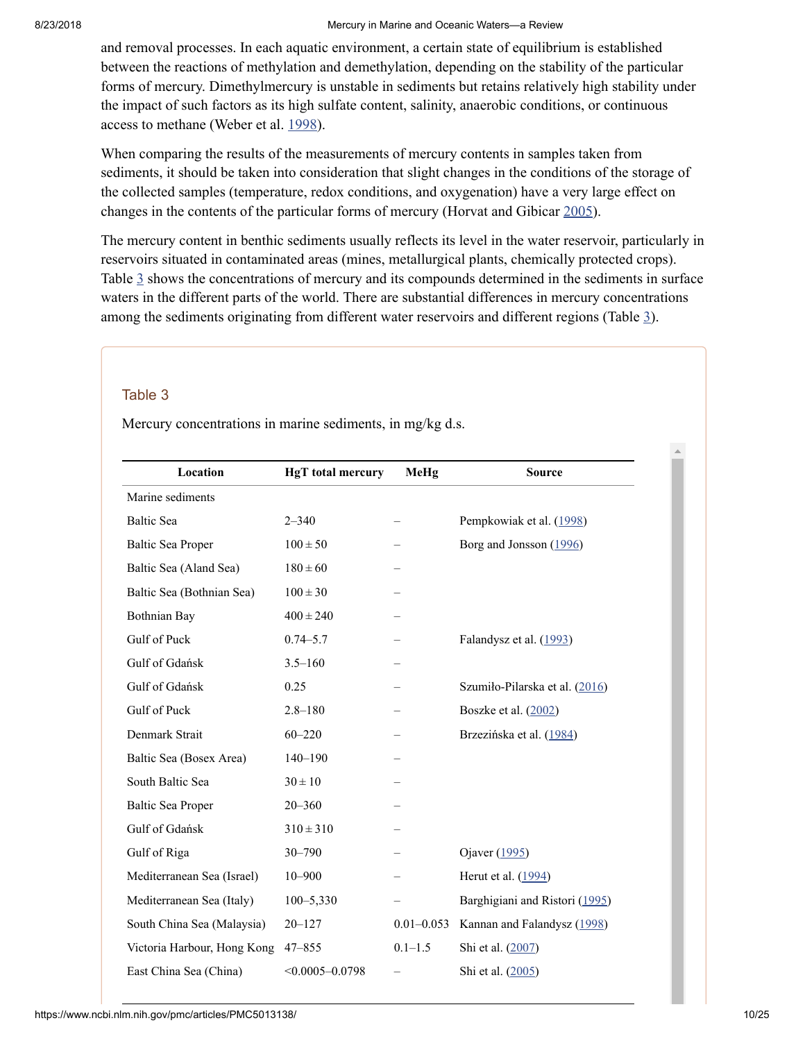and removal processes. In each aquatic environment, a certain state of equilibrium is established between the reactions of methylation and demethylation, depending on the stability of the particular forms of mercury. Dimethylmercury is unstable in sediments but retains relatively high stability under the impact of such factors as its high sulfate content, salinity, anaerobic conditions, or continuous access to methane (Weber et al. [1998](#page-24-4)).

When comparing the results of the measurements of mercury contents in samples taken from sediments, it should be taken into consideration that slight changes in the conditions of the storage of the collected samples (temperature, redox conditions, and oxygenation) have a very large effect on changes in the contents of the particular forms of mercury (Horvat and Gibicar [2005\)](#page-19-9).

The mercury content in benthic sediments usually reflects its level in the water reservoir, particularly in reservoirs situated in contaminated areas (mines, metallurgical plants, chemically protected crops). Table  $\frac{3}{2}$  $\frac{3}{2}$  $\frac{3}{2}$  shows the concentrations of mercury and its compounds determined in the sediments in surface waters in the different parts of the world. There are substantial differences in mercury concentrations among the sediments originating from different water reservoirs and different regions (Table [3](https://www.ncbi.nlm.nih.gov/pmc/articles/PMC5013138/table/Tab3/)).

## Table 3

Mercury concentrations in marine sediments, in mg/kg d.s.

| Marine sediments<br><b>Baltic Sea</b><br>$2 - 340$<br>Pempkowiak et al. (1998)<br><b>Baltic Sea Proper</b><br>Borg and Jonsson (1996)<br>$100 \pm 50$<br>Baltic Sea (Aland Sea)<br>$180 \pm 60$<br>Baltic Sea (Bothnian Sea)<br>$100 \pm 30$<br><b>Bothnian Bay</b><br>$400 \pm 240$<br>Gulf of Puck<br>$0.74 - 5.7$<br>Falandysz et al. (1993)<br>Gulf of Gdańsk<br>$3.5 - 160$<br>Gulf of Gdańsk<br>Szumiło-Pilarska et al. (2016)<br>0.25<br>Gulf of Puck<br>$2.8 - 180$<br>Boszke et al. (2002)<br>Denmark Strait<br>$60 - 220$<br>Brzezińska et al. (1984)<br>Baltic Sea (Bosex Area)<br>$140 - 190$<br>South Baltic Sea<br>$30\pm10$<br>Baltic Sea Proper<br>$20 - 360$<br>Gulf of Gdańsk<br>$310 \pm 310$<br>Gulf of Riga<br>$30 - 790$<br>Ojaver $(1995)$<br>Mediterranean Sea (Israel)<br>$10 - 900$<br>Herut et al. (1994) | Location | <b>HgT</b> total mercury | MeHg | <b>Source</b> |
|--------------------------------------------------------------------------------------------------------------------------------------------------------------------------------------------------------------------------------------------------------------------------------------------------------------------------------------------------------------------------------------------------------------------------------------------------------------------------------------------------------------------------------------------------------------------------------------------------------------------------------------------------------------------------------------------------------------------------------------------------------------------------------------------------------------------------------------|----------|--------------------------|------|---------------|
|                                                                                                                                                                                                                                                                                                                                                                                                                                                                                                                                                                                                                                                                                                                                                                                                                                      |          |                          |      |               |
|                                                                                                                                                                                                                                                                                                                                                                                                                                                                                                                                                                                                                                                                                                                                                                                                                                      |          |                          |      |               |
|                                                                                                                                                                                                                                                                                                                                                                                                                                                                                                                                                                                                                                                                                                                                                                                                                                      |          |                          |      |               |
|                                                                                                                                                                                                                                                                                                                                                                                                                                                                                                                                                                                                                                                                                                                                                                                                                                      |          |                          |      |               |
|                                                                                                                                                                                                                                                                                                                                                                                                                                                                                                                                                                                                                                                                                                                                                                                                                                      |          |                          |      |               |
|                                                                                                                                                                                                                                                                                                                                                                                                                                                                                                                                                                                                                                                                                                                                                                                                                                      |          |                          |      |               |
|                                                                                                                                                                                                                                                                                                                                                                                                                                                                                                                                                                                                                                                                                                                                                                                                                                      |          |                          |      |               |
|                                                                                                                                                                                                                                                                                                                                                                                                                                                                                                                                                                                                                                                                                                                                                                                                                                      |          |                          |      |               |
|                                                                                                                                                                                                                                                                                                                                                                                                                                                                                                                                                                                                                                                                                                                                                                                                                                      |          |                          |      |               |
|                                                                                                                                                                                                                                                                                                                                                                                                                                                                                                                                                                                                                                                                                                                                                                                                                                      |          |                          |      |               |
|                                                                                                                                                                                                                                                                                                                                                                                                                                                                                                                                                                                                                                                                                                                                                                                                                                      |          |                          |      |               |
|                                                                                                                                                                                                                                                                                                                                                                                                                                                                                                                                                                                                                                                                                                                                                                                                                                      |          |                          |      |               |
|                                                                                                                                                                                                                                                                                                                                                                                                                                                                                                                                                                                                                                                                                                                                                                                                                                      |          |                          |      |               |
|                                                                                                                                                                                                                                                                                                                                                                                                                                                                                                                                                                                                                                                                                                                                                                                                                                      |          |                          |      |               |
|                                                                                                                                                                                                                                                                                                                                                                                                                                                                                                                                                                                                                                                                                                                                                                                                                                      |          |                          |      |               |
|                                                                                                                                                                                                                                                                                                                                                                                                                                                                                                                                                                                                                                                                                                                                                                                                                                      |          |                          |      |               |
|                                                                                                                                                                                                                                                                                                                                                                                                                                                                                                                                                                                                                                                                                                                                                                                                                                      |          |                          |      |               |
| Mediterranean Sea (Italy)<br>Barghigiani and Ristori (1995)<br>$100 - 5,330$                                                                                                                                                                                                                                                                                                                                                                                                                                                                                                                                                                                                                                                                                                                                                         |          |                          |      |               |
| South China Sea (Malaysia)<br>$20 - 127$<br>$0.01 - 0.053$<br>Kannan and Falandysz (1998)                                                                                                                                                                                                                                                                                                                                                                                                                                                                                                                                                                                                                                                                                                                                            |          |                          |      |               |
| $0.1 - 1.5$<br>Victoria Harbour, Hong Kong<br>$47 - 855$<br>Shi et al. (2007)                                                                                                                                                                                                                                                                                                                                                                                                                                                                                                                                                                                                                                                                                                                                                        |          |                          |      |               |
| East China Sea (China)<br>$< 0.0005 - 0.0798$<br>Shi et al. (2005)                                                                                                                                                                                                                                                                                                                                                                                                                                                                                                                                                                                                                                                                                                                                                                   |          |                          |      |               |

 $\Delta$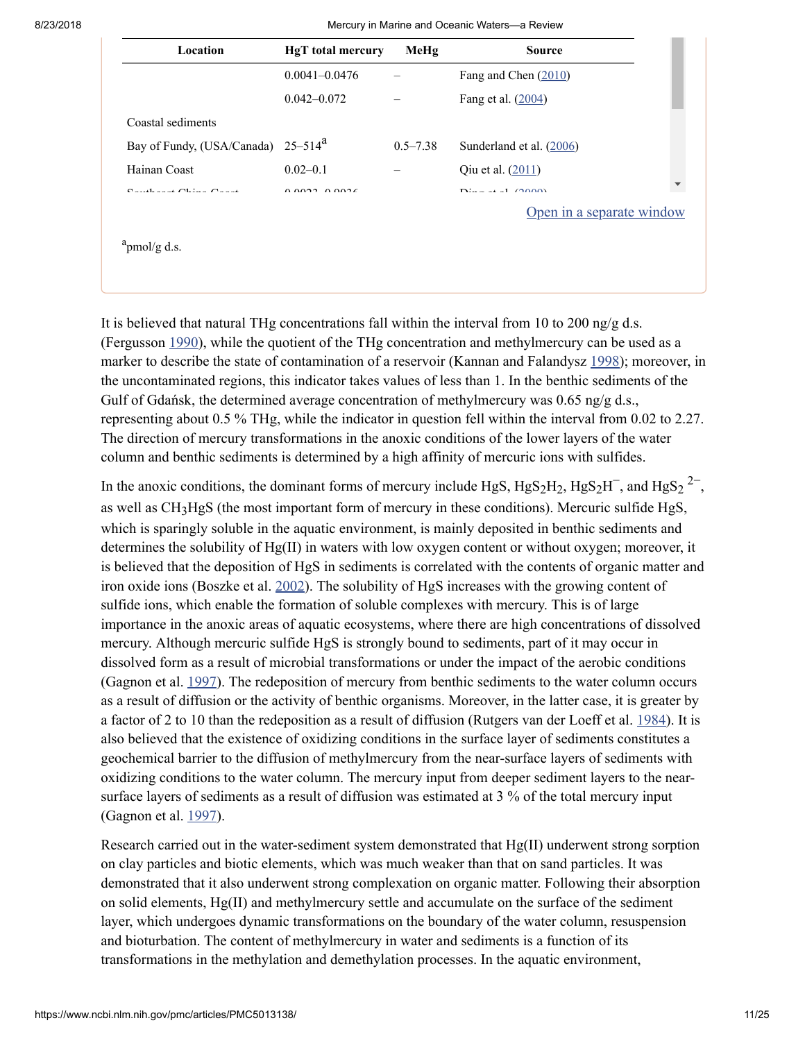|                                                       | <b>HgT</b> total mercury | MeHg         | <b>Source</b>             |
|-------------------------------------------------------|--------------------------|--------------|---------------------------|
|                                                       | $0.0041 - 0.0476$        |              | Fang and Chen (2010)      |
|                                                       | $0.042 - 0.072$          |              | Fang et al. (2004)        |
| Coastal sediments                                     |                          |              |                           |
| Bay of Fundy, (USA/Canada) 25–514 <sup>a</sup>        |                          | $0.5 - 7.38$ | Sunderland et al. (2006)  |
| Hainan Coast                                          | $0.02 - 0.1$             |              | Qiu et al. $(2011)$       |
| $Q_{\text{sc}}(1)$ and $Q(1)$ is a $Q_{\text{sc}}(1)$ | 0.0022.0025              |              | $D^2 = 1.42000$           |
|                                                       |                          |              | Open in a separate window |
|                                                       |                          |              |                           |
| $a$ <sub>pmol/g d.s.</sub>                            |                          |              |                           |

It is believed that natural THg concentrations fall within the interval from 10 to 200 ng/g d.s. (Fergusson [1990\)](#page-18-8), while the quotient of the THg concentration and methylmercury can be used as a marker to describe the state of contamination of a reservoir (Kannan and Falandysz [1998\)](#page-20-10); moreover, in the uncontaminated regions, this indicator takes values of less than 1. In the benthic sediments of the Gulf of Gdańsk, the determined average concentration of methylmercury was 0.65 ng/g d.s., representing about 0.5 % THg, while the indicator in question fell within the interval from 0.02 to 2.27. The direction of mercury transformations in the anoxic conditions of the lower layers of the water column and benthic sediments is determined by a high affinity of mercuric ions with sulfides.

In the anoxic conditions, the dominant forms of mercury include HgS, HgS<sub>2</sub>H<sub>2</sub>, HgS<sub>2</sub>H<sup>-</sup>, and HgS<sub>2</sub><sup>2-</sup>, as well as CH<sub>3</sub>HgS (the most important form of mercury in these conditions). Mercuric sulfide HgS, which is sparingly soluble in the aquatic environment, is mainly deposited in benthic sediments and determines the solubility of Hg(II) in waters with low oxygen content or without oxygen; moreover, it is believed that the deposition of HgS in sediments is correlated with the contents of organic matter and iron oxide ions (Boszke et al. [2002\)](#page-17-13). The solubility of HgS increases with the growing content of sulfide ions, which enable the formation of soluble complexes with mercury. This is of large importance in the anoxic areas of aquatic ecosystems, where there are high concentrations of dissolved mercury. Although mercuric sulfide HgS is strongly bound to sediments, part of it may occur in dissolved form as a result of microbial transformations or under the impact of the aerobic conditions (Gagnon et al. [1997\)](#page-18-9). The redeposition of mercury from benthic sediments to the water column occurs as a result of diffusion or the activity of benthic organisms. Moreover, in the latter case, it is greater by a factor of 2 to 10 than the redeposition as a result of diffusion (Rutgers van der Loeff et al. [1984\)](#page-22-9). It is also believed that the existence of oxidizing conditions in the surface layer of sediments constitutes a geochemical barrier to the diffusion of methylmercury from the near-surface layers of sediments with oxidizing conditions to the water column. The mercury input from deeper sediment layers to the nearsurface layers of sediments as a result of diffusion was estimated at 3 % of the total mercury input (Gagnon et al. [1997\)](#page-18-9).

Research carried out in the water-sediment system demonstrated that Hg(II) underwent strong sorption on clay particles and biotic elements, which was much weaker than that on sand particles. It was demonstrated that it also underwent strong complexation on organic matter. Following their absorption on solid elements, Hg(II) and methylmercury settle and accumulate on the surface of the sediment layer, which undergoes dynamic transformations on the boundary of the water column, resuspension and bioturbation. The content of methylmercury in water and sediments is a function of its transformations in the methylation and demethylation processes. In the aquatic environment,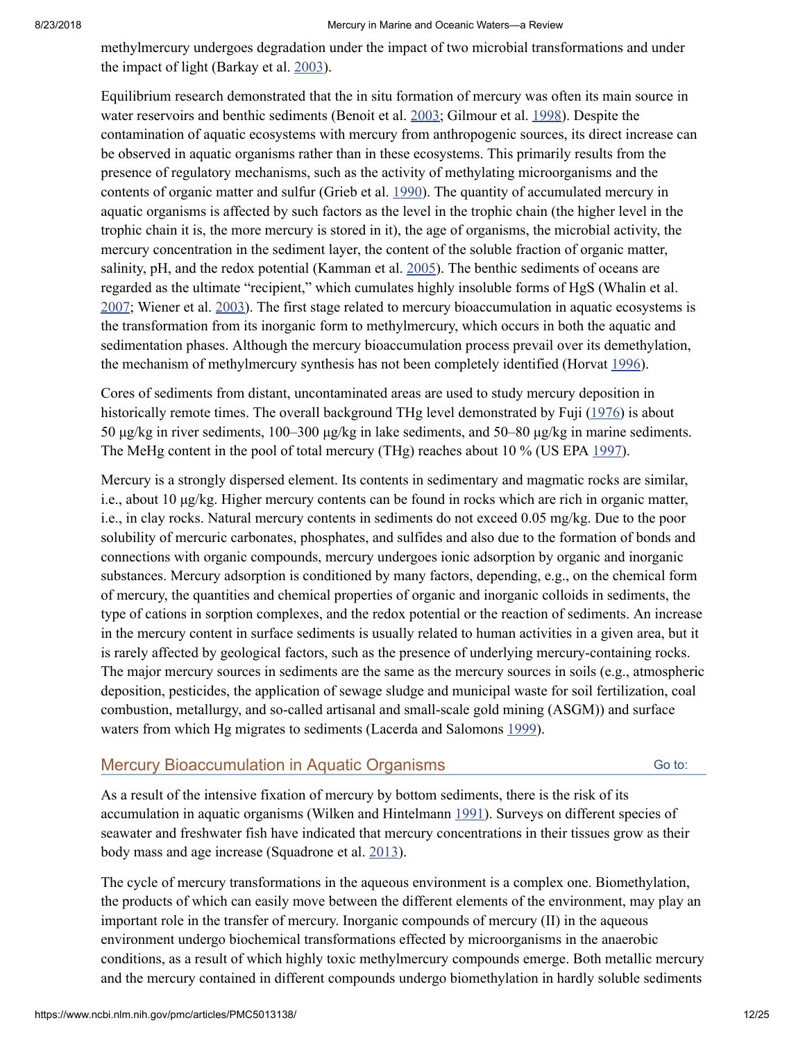methylmercury undergoes degradation under the impact of two microbial transformations and under the impact of light (Barkay et al. [2003](#page-16-9)).

Equilibrium research demonstrated that the in situ formation of mercury was often its main source in water reservoirs and benthic sediments (Benoit et al. [2003](#page-16-0); Gilmour et al. [1998](#page-18-13)). Despite the contamination of aquatic ecosystems with mercury from anthropogenic sources, its direct increase can be observed in aquatic organisms rather than in these ecosystems. This primarily results from the presence of regulatory mechanisms, such as the activity of methylating microorganisms and the contents of organic matter and sulfur (Grieb et al. [1990](#page-19-11)). The quantity of accumulated mercury in aquatic organisms is affected by such factors as the level in the trophic chain (the higher level in the trophic chain it is, the more mercury is stored in it), the age of organisms, the microbial activity, the mercury concentration in the sediment layer, the content of the soluble fraction of organic matter, salinity, pH, and the redox potential (Kamman et al. [2005](#page-20-11)). The benthic sediments of oceans are regarded as the ultimate "recipient," which cumulates highly insoluble forms of HgS (Whalin et al. [2007;](#page-24-2) Wiener et al. [2003](#page-24-5)). The first stage related to mercury bioaccumulation in aquatic ecosystems is the transformation from its inorganic form to methylmercury, which occurs in both the aquatic and sedimentation phases. Although the mercury bioaccumulation process prevail over its demethylation, the mechanism of methylmercury synthesis has not been completely identified (Horvat [1996\)](#page-19-12).

Cores of sediments from distant, uncontaminated areas are used to study mercury deposition in historically remote times. The overall background THg level demonstrated by Fuji [\(1976\)](#page-18-14) is about 50 μg/kg in river sediments, 100–300 μg/kg in lake sediments, and 50–80 μg/kg in marine sediments. The MeHg content in the pool of total mercury (THg) reaches about 10 % (US EPA [1997](#page-23-1)).

Mercury is a strongly dispersed element. Its contents in sedimentary and magmatic rocks are similar, i.e., about 10 μg/kg. Higher mercury contents can be found in rocks which are rich in organic matter, i.e., in clay rocks. Natural mercury contents in sediments do not exceed 0.05 mg/kg. Due to the poor solubility of mercuric carbonates, phosphates, and sulfides and also due to the formation of bonds and connections with organic compounds, mercury undergoes ionic adsorption by organic and inorganic substances. Mercury adsorption is conditioned by many factors, depending, e.g., on the chemical form of mercury, the quantities and chemical properties of organic and inorganic colloids in sediments, the type of cations in sorption complexes, and the redox potential or the reaction of sediments. An increase in the mercury content in surface sediments is usually related to human activities in a given area, but it is rarely affected by geological factors, such as the presence of underlying mercury-containing rocks. The major mercury sources in sediments are the same as the mercury sources in soils (e.g., atmospheric deposition, pesticides, the application of sewage sludge and municipal waste for soil fertilization, coal combustion, metallurgy, and so-called artisanal and small-scale gold mining (ASGM)) and surface waters from which Hg migrates to sediments (Lacerda and Salomons [1999](#page-20-12)).

# Mercury Bioaccumulation in Aquatic Organisms

Go to:

As a result of the intensive fixation of mercury by bottom sediments, there is the risk of its accumulation in aquatic organisms (Wilken and Hintelmann [1991](#page-24-6)). Surveys on different species of seawater and freshwater fish have indicated that mercury concentrations in their tissues grow as their body mass and age increase (Squadrone et al. [2013](#page-22-11)).

The cycle of mercury transformations in the aqueous environment is a complex one. Biomethylation, the products of which can easily move between the different elements of the environment, may play an important role in the transfer of mercury. Inorganic compounds of mercury (II) in the aqueous environment undergo biochemical transformations effected by microorganisms in the anaerobic conditions, as a result of which highly toxic methylmercury compounds emerge. Both metallic mercury and the mercury contained in different compounds undergo biomethylation in hardly soluble sediments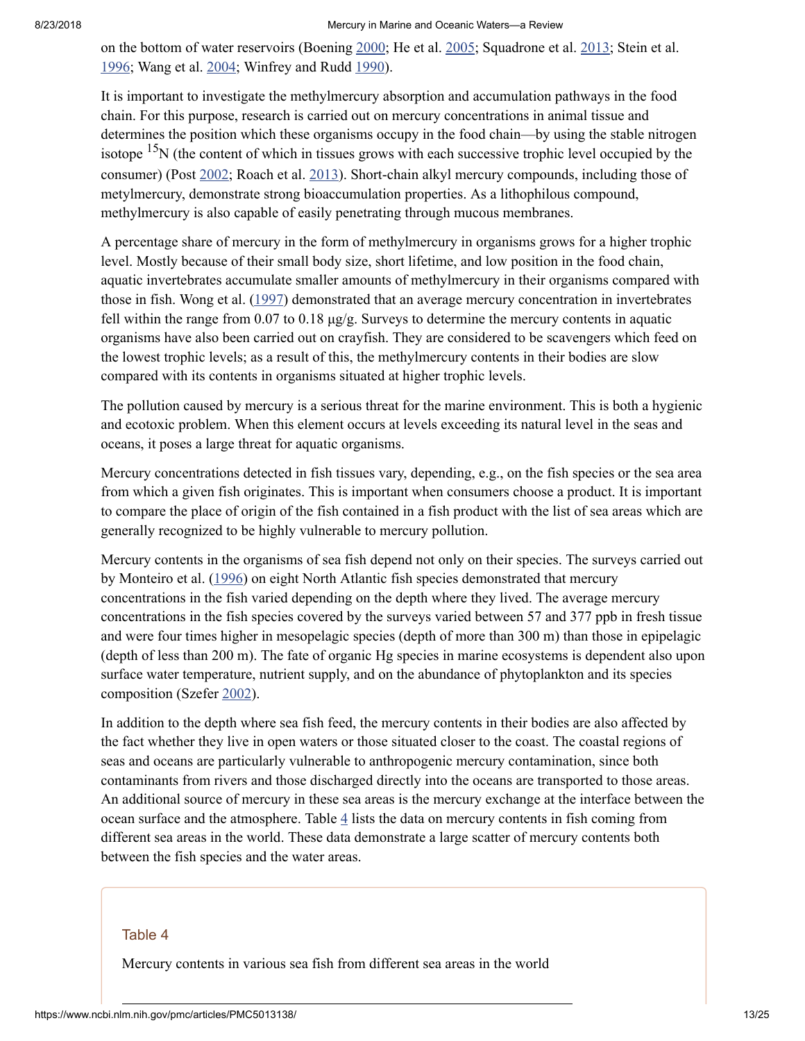on the bottom of water reservoirs (Boening [2000](#page-17-15); He et al. [2005](#page-19-13); Squadrone et al. [2013;](#page-22-11) Stein et al. [1996;](#page-23-13) Wang et al. [2004;](#page-23-7) Winfrey and Rudd [1990\)](#page-24-1).

It is important to investigate the methylmercury absorption and accumulation pathways in the food chain. For this purpose, research is carried out on mercury concentrations in animal tissue and determines the position which these organisms occupy in the food chain—by using the stable nitrogen isotope  $15N$  (the content of which in tissues grows with each successive trophic level occupied by the consumer) (Post [2002](#page-22-12); Roach et al. [2013](#page-22-13)). Short-chain alkyl mercury compounds, including those of metylmercury, demonstrate strong bioaccumulation properties. As a lithophilous compound, methylmercury is also capable of easily penetrating through mucous membranes.

A percentage share of mercury in the form of methylmercury in organisms grows for a higher trophic level. Mostly because of their small body size, short lifetime, and low position in the food chain, aquatic invertebrates accumulate smaller amounts of methylmercury in their organisms compared with those in fish. Wong et al. [\(1997\)](#page-24-1) demonstrated that an average mercury concentration in invertebrates fell within the range from  $0.07$  to  $0.18 \mu\text{g/g}$ . Surveys to determine the mercury contents in aquatic organisms have also been carried out on crayfish. They are considered to be scavengers which feed on the lowest trophic levels; as a result of this, the methylmercury contents in their bodies are slow compared with its contents in organisms situated at higher trophic levels.

The pollution caused by mercury is a serious threat for the marine environment. This is both a hygienic and ecotoxic problem. When this element occurs at levels exceeding its natural level in the seas and oceans, it poses a large threat for aquatic organisms.

Mercury concentrations detected in fish tissues vary, depending, e.g., on the fish species or the sea area from which a given fish originates. This is important when consumers choose a product. It is important to compare the place of origin of the fish contained in a fish product with the list of sea areas which are generally recognized to be highly vulnerable to mercury pollution.

Mercury contents in the organisms of sea fish depend not only on their species. The surveys carried out by Monteiro et al. ([1996\)](#page-21-12) on eight North Atlantic fish species demonstrated that mercury concentrations in the fish varied depending on the depth where they lived. The average mercury concentrations in the fish species covered by the surveys varied between 57 and 377 ppb in fresh tissue and were four times higher in mesopelagic species (depth of more than 300 m) than those in epipelagic (depth of less than 200 m). The fate of organic Hg species in marine ecosystems is dependent also upon surface water temperature, nutrient supply, and on the abundance of phytoplankton and its species composition (Szefer [2002](#page-23-14)).

In addition to the depth where sea fish feed, the mercury contents in their bodies are also affected by the fact whether they live in open waters or those situated closer to the coast. The coastal regions of seas and oceans are particularly vulnerable to anthropogenic mercury contamination, since both contaminants from rivers and those discharged directly into the oceans are transported to those areas. An additional source of mercury in these sea areas is the mercury exchange at the interface between the ocean surface and the atmosphere. Table [4](https://www.ncbi.nlm.nih.gov/pmc/articles/PMC5013138/table/Tab4/) lists the data on mercury contents in fish coming from different sea areas in the world. These data demonstrate a large scatter of mercury contents both between the fish species and the water areas.

### Table 4

Mercury contents in various sea fish from different sea areas in the world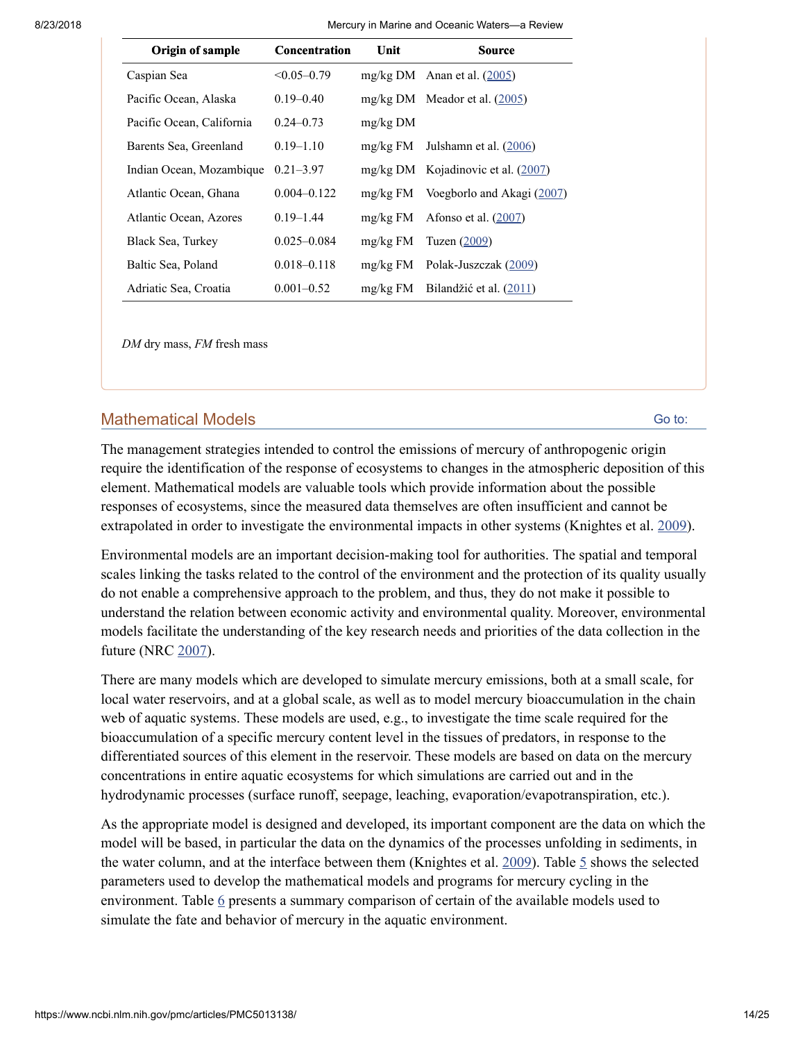| <b>Origin of sample</b>   | Concentration   | Unit       | <b>Source</b>                        |
|---------------------------|-----------------|------------|--------------------------------------|
| Caspian Sea               | $< 0.05 - 0.79$ |            | mg/kg DM Anan et al. $(2005)$        |
| Pacific Ocean, Alaska     | $0.19 - 0.40$   |            | mg/kg DM Meador et al. $(2005)$      |
| Pacific Ocean, California | $0.24 - 0.73$   | $mg/kg$ DM |                                      |
| Barents Sea, Greenland    | $0.19 - 1.10$   | $mg/kg$ FM | Julshamn et al. $(2006)$             |
| Indian Ocean, Mozambique  | $0.21 - 3.97$   |            | mg/kg DM Kojadinovic et al. $(2007)$ |
| Atlantic Ocean, Ghana     | $0.004 - 0.122$ | $mg/kg$ FM | Voegborlo and Akagi (2007)           |
| Atlantic Ocean, Azores    | $0.19 - 1.44$   | $mg/kg$ FM | Afonso et al. $(2007)$               |
| Black Sea, Turkey         | $0.025 - 0.084$ | $mg/kg$ FM | Tuzen (2009)                         |
| Baltic Sea, Poland        | $0.018 - 0.118$ | $mg/kg$ FM | Polak-Juszczak (2009)                |
| Adriatic Sea, Croatia     | $0.001 - 0.52$  | $mg/kg$ FM | Bilandžić et al. (2011)              |

*DM* dry mass, *FM* fresh mass

## Mathematical Models

Go to:

The management strategies intended to control the emissions of mercury of anthropogenic origin require the identification of the response of ecosystems to changes in the atmospheric deposition of this element. Mathematical models are valuable tools which provide information about the possible responses of ecosystems, since the measured data themselves are often insufficient and cannot be extrapolated in order to investigate the environmental impacts in other systems (Knightes et al. [2009](#page-20-14)).

Environmental models are an important decision-making tool for authorities. The spatial and temporal scales linking the tasks related to the control of the environment and the protection of its quality usually do not enable a comprehensive approach to the problem, and thus, they do not make it possible to understand the relation between economic activity and environmental quality. Moreover, environmental models facilitate the understanding of the key research needs and priorities of the data collection in the future (NRC [2007](#page-21-14)).

There are many models which are developed to simulate mercury emissions, both at a small scale, for local water reservoirs, and at a global scale, as well as to model mercury bioaccumulation in the chain web of aquatic systems. These models are used, e.g., to investigate the time scale required for the bioaccumulation of a specific mercury content level in the tissues of predators, in response to the differentiated sources of this element in the reservoir. These models are based on data on the mercury concentrations in entire aquatic ecosystems for which simulations are carried out and in the hydrodynamic processes (surface runoff, seepage, leaching, evaporation/evapotranspiration, etc.).

As the appropriate model is designed and developed, its important component are the data on which the model will be based, in particular the data on the dynamics of the processes unfolding in sediments, in the water column, and at the interface between them (Knightes et al. [2009](#page-20-14)). Table [5](https://www.ncbi.nlm.nih.gov/pmc/articles/PMC5013138/table/Tab5/) shows the selected parameters used to develop the mathematical models and programs for mercury cycling in the environment. Table  $6$  presents a summary comparison of certain of the available models used to simulate the fate and behavior of mercury in the aquatic environment.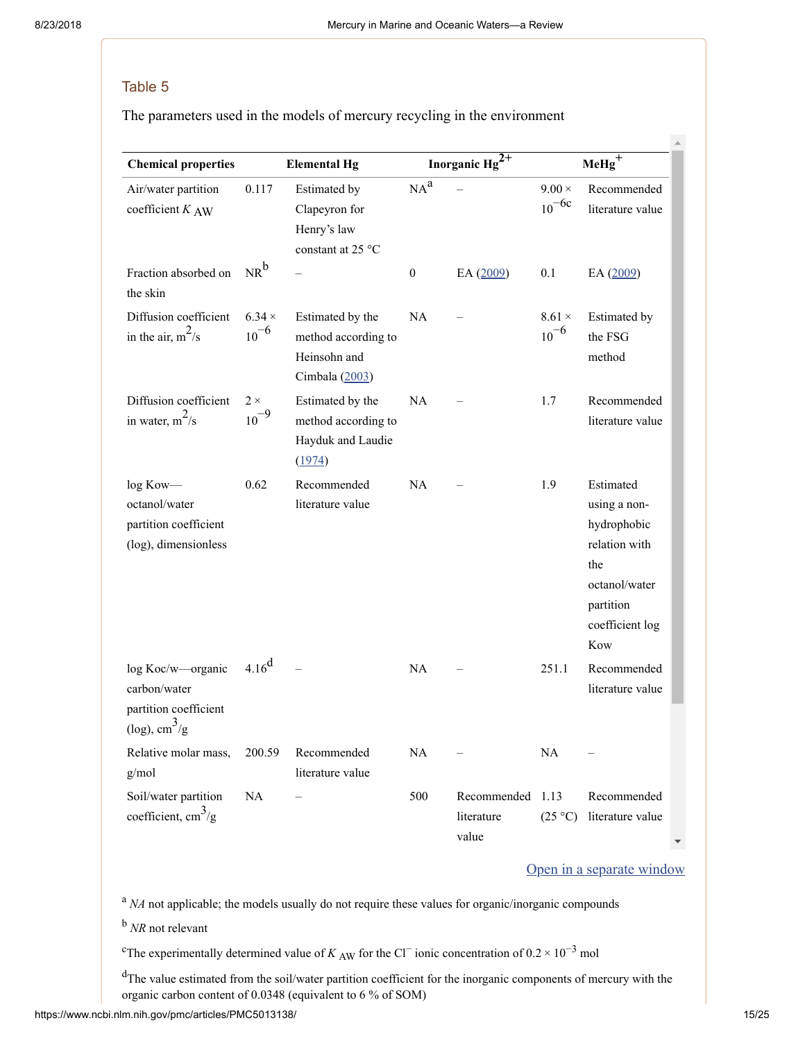## Table 5

The parameters used in the models of mercury recycling in the environment

| <b>Chemical properties</b>                                                                  |                            | <b>Elemental Hg</b>                                                       |                  | Inorganic $Hg^2$ <sup>+</sup>           |                             | $MeHg^{\overline{+}}$                                                                                                    |
|---------------------------------------------------------------------------------------------|----------------------------|---------------------------------------------------------------------------|------------------|-----------------------------------------|-----------------------------|--------------------------------------------------------------------------------------------------------------------------|
| Air/water partition<br>coefficient $K_{AW}$                                                 | 0.117                      | <b>Estimated by</b><br>Clapeyron for<br>Henry's law<br>constant at 25 °C  | $NA^a$           |                                         | $9.00 \times$<br>$10^{-6c}$ | Recommended<br>literature value                                                                                          |
| Fraction absorbed on<br>the skin                                                            | $NR^b$                     |                                                                           | $\boldsymbol{0}$ | EA $(2009)$                             | 0.1                         | EA (2009)                                                                                                                |
| Diffusion coefficient<br>in the air, $m^2/s$                                                | $6.34 \times$<br>$10^{-6}$ | Estimated by the<br>method according to<br>Heinsohn and<br>Cimbala (2003) | NA               |                                         | $8.61 \times$<br>$10^{-6}$  | Estimated by<br>the FSG<br>method                                                                                        |
| Diffusion coefficient<br>in water, $m^2/s$                                                  | $2 \times$<br>$10^{-9}$    | Estimated by the<br>method according to<br>Hayduk and Laudie<br>(1974)    | NA               |                                         | 1.7                         | Recommended<br>literature value                                                                                          |
| log Kow-<br>octanol/water<br>partition coefficient<br>(log), dimensionless                  | 0.62                       | Recommended<br>literature value                                           | NA               |                                         | 1.9                         | Estimated<br>using a non-<br>hydrophobic<br>relation with<br>the<br>octanol/water<br>partition<br>coefficient log<br>Kow |
| log Koc/w-organic<br>carbon/water<br>partition coefficient<br>$(\log)$ , cm <sup>3</sup> /g | $4.16^{d}$                 |                                                                           | NA               |                                         | 251.1                       | Recommended<br>literature value                                                                                          |
| Relative molar mass,<br>g/mol                                                               | 200.59                     | Recommended<br>literature value                                           | <b>NA</b>        |                                         | NA                          |                                                                                                                          |
| Soil/water partition<br>coefficient, $cm^3/g$                                               | $\rm NA$                   |                                                                           | 500              | Recommended 1.13<br>literature<br>value | (25 °C)                     | Recommended<br>literature value                                                                                          |

Open in a [separate](https://www.ncbi.nlm.nih.gov/pmc/articles/PMC5013138/table/Tab5/?report=objectonly) window

<sup>a</sup> *NA* not applicable; the models usually do not require these values for organic/inorganic compounds

<sup>b</sup> NR not relevant

<sup>c</sup>The experimentally determined value of *K* <sub>AW</sub> for the Cl<sup>-</sup> ionic concentration of  $0.2 \times 10^{-3}$  mol

<sup>d</sup>The value estimated from the soil/water partition coefficient for the inorganic components of mercury with the organic carbon content of 0.0348 (equivalent to 6 % of SOM)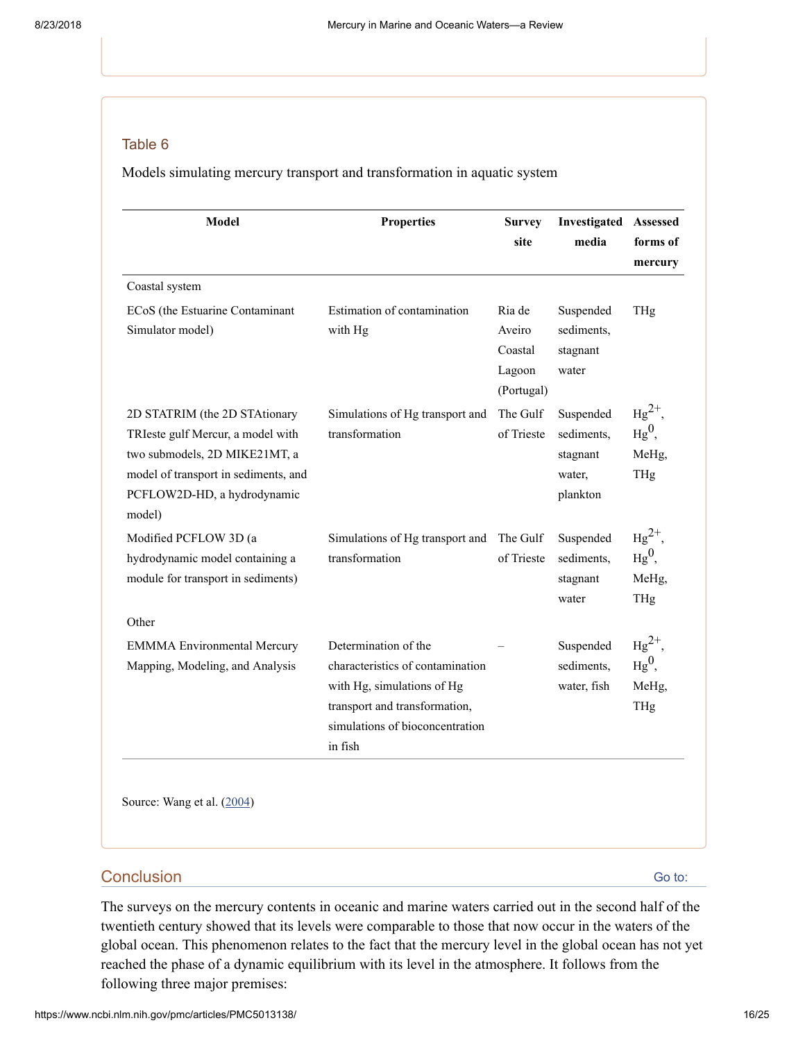## Table 6

Models simulating mercury transport and transformation in aquatic system

| <b>Model</b>                                                                                                                                                                         | <b>Properties</b>                                                                                                                                                     | <b>Survey</b><br>site                               | Investigated<br>media                                     | Assessed<br>forms of<br>mercury         |
|--------------------------------------------------------------------------------------------------------------------------------------------------------------------------------------|-----------------------------------------------------------------------------------------------------------------------------------------------------------------------|-----------------------------------------------------|-----------------------------------------------------------|-----------------------------------------|
| Coastal system                                                                                                                                                                       |                                                                                                                                                                       |                                                     |                                                           |                                         |
| ECoS (the Estuarine Contaminant<br>Simulator model)                                                                                                                                  | Estimation of contamination<br>with Hg                                                                                                                                | Ria de<br>Aveiro<br>Coastal<br>Lagoon<br>(Portugal) | Suspended<br>sediments,<br>stagnant<br>water              | THg                                     |
| 2D STATRIM (the 2D STAtionary<br>TRIeste gulf Mercur, a model with<br>two submodels, 2D MIKE21MT, a<br>model of transport in sediments, and<br>PCFLOW2D-HD, a hydrodynamic<br>model) | Simulations of Hg transport and<br>transformation                                                                                                                     | The Gulf<br>of Trieste                              | Suspended<br>sediments,<br>stagnant<br>water,<br>plankton | $Hg^{2+}$<br>$Hg^0$ ,<br>MeHg,<br>THg   |
| Modified PCFLOW 3D (a<br>hydrodynamic model containing a<br>module for transport in sediments)                                                                                       | Simulations of Hg transport and<br>transformation                                                                                                                     | The Gulf<br>of Trieste                              | Suspended<br>sediments,<br>stagnant<br>water              | $Hg^{2+}$<br>$Hg^0$ ,<br>MeHg,<br>THg   |
| Other<br><b>EMMMA Environmental Mercury</b><br>Mapping, Modeling, and Analysis                                                                                                       | Determination of the<br>characteristics of contamination<br>with Hg, simulations of Hg<br>transport and transformation,<br>simulations of bioconcentration<br>in fish |                                                     | Suspended<br>sediments,<br>water, fish                    | $Hg^{2+}$ ,<br>$Hg^0$ ,<br>MeHg,<br>THg |

## **Conclusion**

Go to:

The surveys on the mercury contents in oceanic and marine waters carried out in the second half of the twentieth century showed that its levels were comparable to those that now occur in the waters of the global ocean. This phenomenon relates to the fact that the mercury level in the global ocean has not yet reached the phase of a dynamic equilibrium with its level in the atmosphere. It follows from the following three major premises: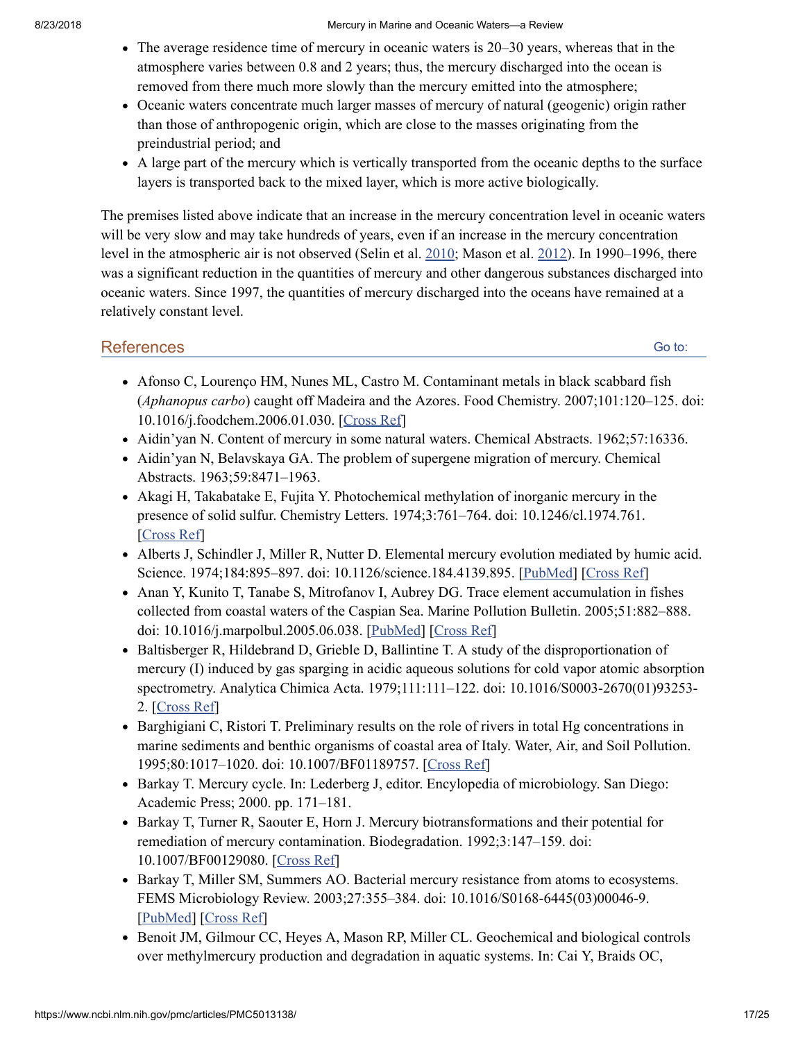- $\bullet$  The average residence time of mercury in oceanic waters is 20–30 years, whereas that in the atmosphere varies between 0.8 and 2 years; thus, the mercury discharged into the ocean is removed from there much more slowly than the mercury emitted into the atmosphere;
- Oceanic waters concentrate much larger masses of mercury of natural (geogenic) origin rather than those of anthropogenic origin, which are close to the masses originating from the preindustrial period; and
- A large part of the mercury which is vertically transported from the oceanic depths to the surface layers is transported back to the mixed layer, which is more active biologically.

The premises listed above indicate that an increase in the mercury concentration level in oceanic waters will be very slow and may take hundreds of years, even if an increase in the mercury concentration level in the atmospheric air is not observed (Selin et al. [2010;](#page-22-15) Mason et al. [2012](#page-21-15)). In 1990–1996, there was a significant reduction in the quantities of mercury and other dangerous substances discharged into oceanic waters. Since 1997, the quantities of mercury discharged into the oceans have remained at a relatively constant level.

## **References**

Go to:

- <span id="page-16-11"></span>Afonso C, Lourenço HM, Nunes ML, Castro M. Contaminant metals in black scabbard fish (*Aphanopus carbo*) caught off Madeira and the Azores. Food Chemistry. 2007;101:120–125. doi: 10.1016/j.foodchem.2006.01.030. [\[Cross](https://dx.doi.org/10.1016%2Fj.foodchem.2006.01.030) Ref]
- <span id="page-16-7"></span>• Aidin'yan N. Content of mercury in some natural waters. Chemical Abstracts. 1962;57:16336.
- <span id="page-16-6"></span>Aidin'yan N, Belavskaya GA. The problem of supergene migration of mercury. Chemical Abstracts. 1963;59:8471–1963.
- <span id="page-16-5"></span>Akagi H, Takabatake E, Fujita Y. Photochemical methylation of inorganic mercury in the presence of solid sulfur. Chemistry Letters. 1974;3:761–764. doi: 10.1246/cl.1974.761. [\[Cross](https://dx.doi.org/10.1246%2Fcl.1974.761) Ref]
- <span id="page-16-4"></span>Alberts J, Schindler J, Miller R, Nutter D. Elemental mercury evolution mediated by humic acid. Science. 1974;184:895–897. doi: 10.1126/science.184.4139.895. [\[PubMed\]](https://www.ncbi.nlm.nih.gov/pubmed/17782380) [[Cross](https://dx.doi.org/10.1126%2Fscience.184.4139.895) Ref]
- <span id="page-16-10"></span>Anan Y, Kunito T, Tanabe S, Mitrofanov I, Aubrey DG. Trace element accumulation in fishes collected from coastal waters of the Caspian Sea. Marine Pollution Bulletin. 2005;51:882–888. doi: 10.1016/j.marpolbul.2005.06.038. [\[PubMed](https://www.ncbi.nlm.nih.gov/pubmed/16051278)] [\[Cross](https://dx.doi.org/10.1016%2Fj.marpolbul.2005.06.038) Ref]
- <span id="page-16-3"></span>Baltisberger R, Hildebrand D, Grieble D, Ballintine T. A study of the disproportionation of mercury (I) induced by gas sparging in acidic aqueous solutions for cold vapor atomic absorption spectrometry. Analytica Chimica Acta. 1979;111:111–122. doi: 10.1016/S0003-2670(01)93253- 2. [\[Cross](https://dx.doi.org/10.1016%2FS0003-2670(01)93253-2) Ref]
- <span id="page-16-8"></span>Barghigiani C, Ristori T. Preliminary results on the role of rivers in total Hg concentrations in marine sediments and benthic organisms of coastal area of Italy. Water, Air, and Soil Pollution. 1995;80:1017–1020. doi: 10.1007/BF01189757. [\[Cross](https://dx.doi.org/10.1007%2FBF01189757) Ref]
- <span id="page-16-1"></span>Barkay T. Mercury cycle. In: Lederberg J, editor. Encylopedia of microbiology. San Diego: Academic Press; 2000. pp. 171–181.
- <span id="page-16-2"></span>Barkay T, Turner R, Saouter E, Horn J. Mercury biotransformations and their potential for remediation of mercury contamination. Biodegradation. 1992;3:147–159. doi: 10.1007/BF00129080. [[Cross](https://dx.doi.org/10.1007%2FBF00129080) Ref]
- <span id="page-16-9"></span>• Barkay T, Miller SM, Summers AO. Bacterial mercury resistance from atoms to ecosystems. FEMS Microbiology Review. 2003;27:355–384. doi: 10.1016/S0168-6445(03)00046-9. [\[PubMed\]](https://www.ncbi.nlm.nih.gov/pubmed/12829275) [[Cross](https://dx.doi.org/10.1016%2FS0168-6445(03)00046-9) Ref]
- <span id="page-16-0"></span>Benoit JM, Gilmour CC, Heyes A, Mason RP, Miller CL. Geochemical and biological controls over methylmercury production and degradation in aquatic systems. In: Cai Y, Braids OC,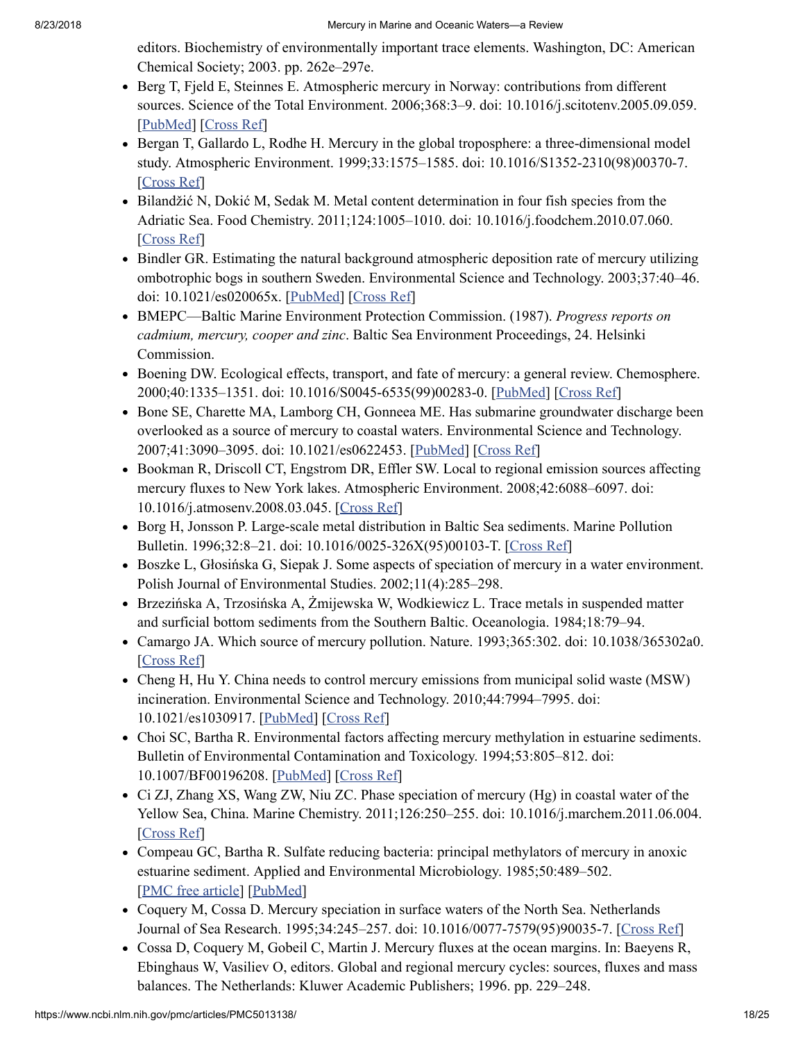editors. Biochemistry of environmentally important trace elements. Washington, DC: American Chemical Society; 2003. pp. 262e–297e.

- <span id="page-17-0"></span>Berg T, Fjeld E, Steinnes E. Atmospheric mercury in Norway: contributions from different sources. Science of the Total Environment. 2006;368:3–9. doi: 10.1016/j.scitotenv.2005.09.059. [\[PubMed\]](https://www.ncbi.nlm.nih.gov/pubmed/16310836) [[Cross](https://dx.doi.org/10.1016%2Fj.scitotenv.2005.09.059) Ref]
- <span id="page-17-5"></span>Bergan T, Gallardo L, Rodhe H. Mercury in the global troposphere: a three-dimensional model study. Atmospheric Environment. 1999;33:1575–1585. doi: 10.1016/S1352-2310(98)00370-7. [\[Cross](https://dx.doi.org/10.1016%2FS1352-2310(98)00370-7) Ref]
- <span id="page-17-16"></span>Bilandžić N, Dokić M, Sedak M. Metal content determination in four fish species from the Adriatic Sea. Food Chemistry. 2011;124:1005–1010. doi: 10.1016/j.foodchem.2010.07.060. [\[Cross](https://dx.doi.org/10.1016%2Fj.foodchem.2010.07.060) Ref]
- <span id="page-17-6"></span>• Bindler GR. Estimating the natural background atmospheric deposition rate of mercury utilizing ombotrophic bogs in southern Sweden. Environmental Science and Technology. 2003;37:40–46. doi: 10.1021/es020065x. [[PubMed\]](https://www.ncbi.nlm.nih.gov/pubmed/12542288) [\[Cross](https://dx.doi.org/10.1021%2Fes020065x) Ref]
- <span id="page-17-7"></span>BMEPC—Baltic Marine Environment Protection Commission. (1987). *Progress reports on cadmium, mercury, cooper and zinc*. Baltic Sea Environment Proceedings, 24. Helsinki Commission.
- <span id="page-17-15"></span>Boening DW. Ecological effects, transport, and fate of mercury: a general review. Chemosphere. 2000;40:1335–1351. doi: 10.1016/S0045-6535(99)00283-0. [\[PubMed](https://www.ncbi.nlm.nih.gov/pubmed/10789973)] [\[Cross](https://dx.doi.org/10.1016%2FS0045-6535(99)00283-0) Ref]
- <span id="page-17-1"></span>• Bone SE, Charette MA, Lamborg CH, Gonneea ME. Has submarine groundwater discharge been overlooked as a source of mercury to coastal waters. Environmental Science and Technology. 2007;41:3090–3095. doi: 10.1021/es0622453. [[PubMed\]](https://www.ncbi.nlm.nih.gov/pubmed/17539509) [\[Cross](https://dx.doi.org/10.1021%2Fes0622453) Ref]
- <span id="page-17-2"></span>Bookman R, Driscoll CT, Engstrom DR, Effler SW. Local to regional emission sources affecting mercury fluxes to New York lakes. Atmospheric Environment. 2008;42:6088–6097. doi: 10.1016/j.atmosenv.2008.03.045. [[Cross](https://dx.doi.org/10.1016%2Fj.atmosenv.2008.03.045) Ref]
- <span id="page-17-12"></span>Borg H, Jonsson P. Large-scale metal distribution in Baltic Sea sediments. Marine Pollution Bulletin. 1996;32:8–21. doi: 10.1016/0025-326X(95)00103-T. [[Cross](https://dx.doi.org/10.1016%2F0025-326X(95)00103-T) Ref]
- <span id="page-17-13"></span>Boszke L, Głosińska G, Siepak J. Some aspects of speciation of mercury in a water environment. Polish Journal of Environmental Studies. 2002;11(4):285–298.
- <span id="page-17-14"></span>Brzezińska A, Trzosińska A, Żmijewska W, Wodkiewicz L. Trace metals in suspended matter and surficial bottom sediments from the Southern Baltic. Oceanologia. 1984;18:79–94.
- <span id="page-17-3"></span>Camargo JA. Which source of mercury pollution. Nature. 1993;365:302. doi: 10.1038/365302a0. [\[Cross](https://dx.doi.org/10.1038%2F365302a0) Ref]
- <span id="page-17-4"></span>Cheng H, Hu Y. China needs to control mercury emissions from municipal solid waste (MSW) incineration. Environmental Science and Technology. 2010;44:7994–7995. doi: 10.1021/es1030917. [[PubMed\]](https://www.ncbi.nlm.nih.gov/pubmed/20886847) [[Cross](https://dx.doi.org/10.1021%2Fes1030917) Ref]
- <span id="page-17-11"></span>• Choi SC, Bartha R. Environmental factors affecting mercury methylation in estuarine sediments. Bulletin of Environmental Contamination and Toxicology. 1994;53:805–812. doi: 10.1007/BF00196208. [[PubMed](https://www.ncbi.nlm.nih.gov/pubmed/7881207)] [[Cross](https://dx.doi.org/10.1007%2FBF00196208) Ref]
- Ci ZJ, Zhang XS, Wang ZW, Niu ZC. Phase speciation of mercury (Hg) in coastal water of the Yellow Sea, China. Marine Chemistry. 2011;126:250–255. doi: 10.1016/j.marchem.2011.06.004. [\[Cross](https://dx.doi.org/10.1016%2Fj.marchem.2011.06.004) Ref]
- <span id="page-17-10"></span>Compeau GC, Bartha R. Sulfate reducing bacteria: principal methylators of mercury in anoxic estuarine sediment. Applied and Environmental Microbiology. 1985;50:489–502. [PMC free [article](https://www.ncbi.nlm.nih.gov/pmc/articles/PMC238649/)] [\[PubMed](https://www.ncbi.nlm.nih.gov/pubmed/16346866)]
- <span id="page-17-8"></span>• Coquery M, Cossa D. Mercury speciation in surface waters of the North Sea. Netherlands Journal of Sea Research. 1995;34:245–257. doi: 10.1016/0077-7579(95)90035-7. [\[Cross](https://dx.doi.org/10.1016%2F0077-7579(95)90035-7) Ref]
- <span id="page-17-9"></span>Cossa D, Coquery M, Gobeil C, Martin J. Mercury fluxes at the ocean margins. In: Baeyens R, Ebinghaus W, Vasiliev O, editors. Global and regional mercury cycles: sources, fluxes and mass balances. The Netherlands: Kluwer Academic Publishers; 1996. pp. 229–248.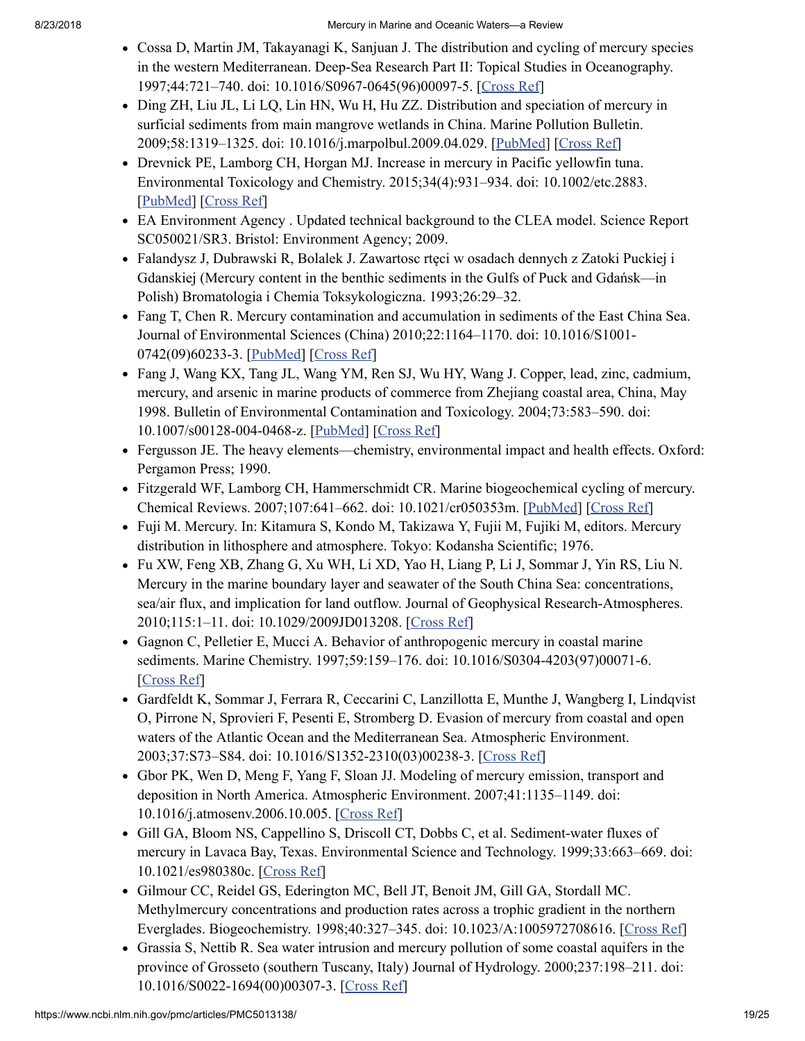- <span id="page-18-5"></span>Cossa D, Martin JM, Takayanagi K, Sanjuan J. The distribution and cycling of mercury species in the western Mediterranean. Deep-Sea Research Part II: Topical Studies in Oceanography. 1997;44:721–740. doi: 10.1016/S0967-0645(96)00097-5. [\[Cross](https://dx.doi.org/10.1016%2FS0967-0645(96)00097-5) Ref]
- <span id="page-18-12"></span>Ding ZH, Liu JL, Li LQ, Lin HN, Wu H, Hu ZZ. Distribution and speciation of mercury in surficial sediments from main mangrove wetlands in China. Marine Pollution Bulletin. 2009;58:1319–1325. doi: 10.1016/j.marpolbul.2009.04.029. [\[PubMed](https://www.ncbi.nlm.nih.gov/pubmed/19477465)] [\[Cross](https://dx.doi.org/10.1016%2Fj.marpolbul.2009.04.029) Ref]
- <span id="page-18-3"></span>Drevnick PE, Lamborg CH, Horgan MJ. Increase in mercury in Pacific yellowfin tuna. Environmental Toxicology and Chemistry. 2015;34(4):931–934. doi: 10.1002/etc.2883. [\[PubMed\]](https://www.ncbi.nlm.nih.gov/pubmed/25645441) [[Cross](https://dx.doi.org/10.1002%2Fetc.2883) Ref]
- <span id="page-18-15"></span>EA Environment Agency . Updated technical background to the CLEA model. Science Report SC050021/SR3. Bristol: Environment Agency; 2009.
- <span id="page-18-7"></span>Falandysz J, Dubrawski R, Bolalek J. Zawartosc rtęci w osadach dennych z Zatoki Puckiej i Gdanskiej (Mercury content in the benthic sediments in the Gulfs of Puck and Gdańsk—in Polish) Bromatologia i Chemia Toksykologiczna. 1993;26:29–32.
- <span id="page-18-10"></span>Fang T, Chen R. Mercury contamination and accumulation in sediments of the East China Sea. Journal of Environmental Sciences (China) 2010;22:1164–1170. doi: 10.1016/S1001- 0742(09)60233-3. [\[PubMed\]](https://www.ncbi.nlm.nih.gov/pubmed/21179953) [\[Cross](https://dx.doi.org/10.1016%2FS1001-0742(09)60233-3) Ref]
- <span id="page-18-11"></span>Fang J, Wang KX, Tang JL, Wang YM, Ren SJ, Wu HY, Wang J. Copper, lead, zinc, cadmium, mercury, and arsenic in marine products of commerce from Zhejiang coastal area, China, May 1998. Bulletin of Environmental Contamination and Toxicology. 2004;73:583–590. doi: 10.1007/s00128-004-0468-z. [[PubMed](https://www.ncbi.nlm.nih.gov/pubmed/15386182)] [[Cross](https://dx.doi.org/10.1007%2Fs00128-004-0468-z) Ref]
- <span id="page-18-8"></span>Fergusson JE. The heavy elements—chemistry, environmental impact and health effects. Oxford: Pergamon Press; 1990.
- <span id="page-18-1"></span>Fitzgerald WF, Lamborg CH, Hammerschmidt CR. Marine biogeochemical cycling of mercury. Chemical Reviews. 2007;107:641–662. doi: 10.1021/cr050353m. [[PubMed\]](https://www.ncbi.nlm.nih.gov/pubmed/17300143) [\[Cross](https://dx.doi.org/10.1021%2Fcr050353m) Ref]
- <span id="page-18-14"></span>Fuji M. Mercury. In: Kitamura S, Kondo M, Takizawa Y, Fujii M, Fujiki M, editors. Mercury distribution in lithosphere and atmosphere. Tokyo: Kodansha Scientific; 1976.
- Fu XW, Feng XB, Zhang G, Xu WH, Li XD, Yao H, Liang P, Li J, Sommar J, Yin RS, Liu N. Mercury in the marine boundary layer and seawater of the South China Sea: concentrations, sea/air flux, and implication for land outflow. Journal of Geophysical Research-Atmospheres. 2010;115:1–11. doi: 10.1029/2009JD013208. [[Cross](https://dx.doi.org/10.1029%2F2009JD013208) Ref]
- <span id="page-18-9"></span>Gagnon C, Pelletier E, Mucci A. Behavior of anthropogenic mercury in coastal marine sediments. Marine Chemistry. 1997;59:159–176. doi: 10.1016/S0304-4203(97)00071-6. [\[Cross](https://dx.doi.org/10.1016%2FS0304-4203(97)00071-6) Ref]
- <span id="page-18-4"></span>Gardfeldt K, Sommar J, Ferrara R, Ceccarini C, Lanzillotta E, Munthe J, Wangberg I, Lindqvist O, Pirrone N, Sprovieri F, Pesenti E, Stromberg D. Evasion of mercury from coastal and open waters of the Atlantic Ocean and the Mediterranean Sea. Atmospheric Environment. 2003;37:S73–S84. doi: 10.1016/S1352-2310(03)00238-3. [[Cross](https://dx.doi.org/10.1016%2FS1352-2310(03)00238-3) Ref]
- <span id="page-18-2"></span>• Gbor PK, Wen D, Meng F, Yang F, Sloan JJ. Modeling of mercury emission, transport and deposition in North America. Atmospheric Environment. 2007;41:1135–1149. doi: 10.1016/j.atmosenv.2006.10.005. [[Cross](https://dx.doi.org/10.1016%2Fj.atmosenv.2006.10.005) Ref]
- <span id="page-18-6"></span>Gill GA, Bloom NS, Cappellino S, Driscoll CT, Dobbs C, et al. Sediment-water fluxes of mercury in Lavaca Bay, Texas. Environmental Science and Technology. 1999;33:663–669. doi: 10.1021/es980380c. [\[Cross](https://dx.doi.org/10.1021%2Fes980380c) Ref]
- <span id="page-18-13"></span>Gilmour CC, Reidel GS, Ederington MC, Bell JT, Benoit JM, Gill GA, Stordall MC. Methylmercury concentrations and production rates across a trophic gradient in the northern Everglades. Biogeochemistry. 1998;40:327–345. doi: 10.1023/A:1005972708616. [\[Cross](https://dx.doi.org/10.1023%2FA%3A1005972708616) Ref]
- <span id="page-18-0"></span>Grassia S, Nettib R. Sea water intrusion and mercury pollution of some coastal aquifers in the province of Grosseto (southern Tuscany, Italy) Journal of Hydrology. 2000;237:198–211. doi: 10.1016/S0022-1694(00)00307-3. [[Cross](https://dx.doi.org/10.1016%2FS0022-1694(00)00307-3) Ref]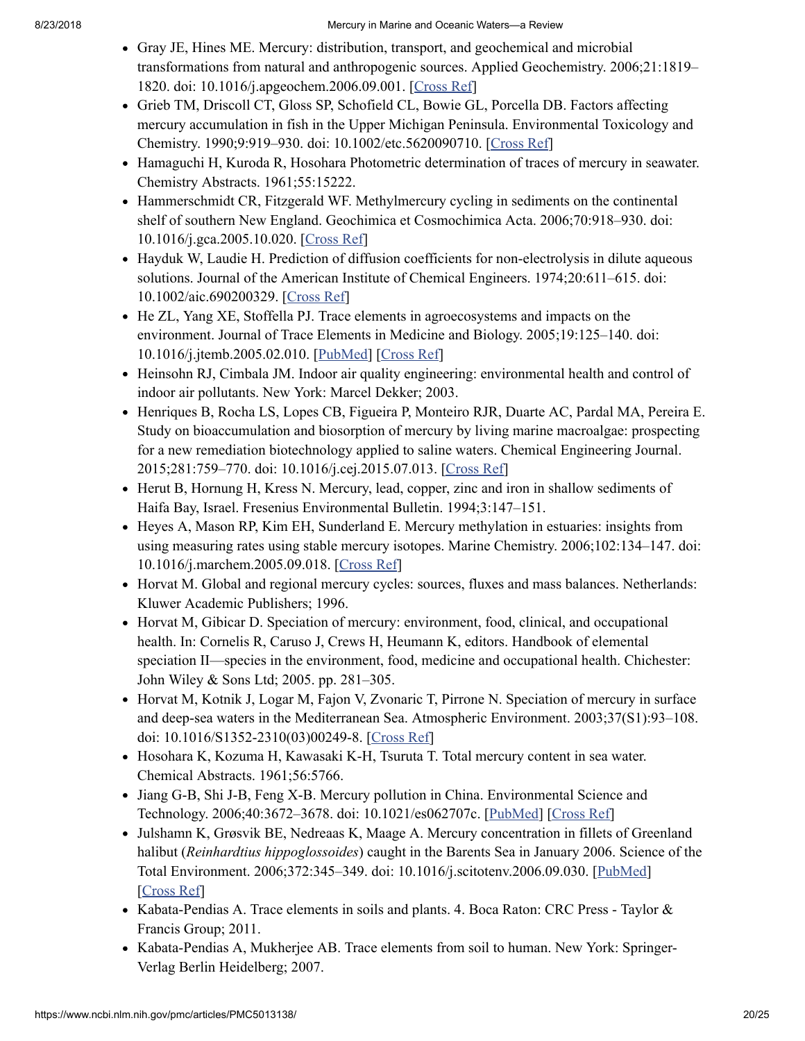- <span id="page-19-3"></span>Gray JE, Hines ME. Mercury: distribution, transport, and geochemical and microbial transformations from natural and anthropogenic sources. Applied Geochemistry. 2006;21:1819– 1820. doi: 10.1016/j.apgeochem.2006.09.001. [[Cross](https://dx.doi.org/10.1016%2Fj.apgeochem.2006.09.001) Ref]
- <span id="page-19-11"></span>Grieb TM, Driscoll CT, Gloss SP, Schofield CL, Bowie GL, Porcella DB. Factors affecting mercury accumulation in fish in the Upper Michigan Peninsula. Environmental Toxicology and Chemistry. 1990;9:919–930. doi: 10.1002/etc.5620090710. [\[Cross](https://dx.doi.org/10.1002%2Fetc.5620090710) Ref]
- <span id="page-19-6"></span>Hamaguchi H, Kuroda R, Hosohara Photometric determination of traces of mercury in seawater. Chemistry Abstracts. 1961;55:15222.
- <span id="page-19-7"></span>Hammerschmidt CR, Fitzgerald WF. Methylmercury cycling in sediments on the continental shelf of southern New England. Geochimica et Cosmochimica Acta. 2006;70:918–930. doi: 10.1016/j.gca.2005.10.020. [\[Cross](https://dx.doi.org/10.1016%2Fj.gca.2005.10.020) Ref]
- <span id="page-19-16"></span>• Hayduk W, Laudie H. Prediction of diffusion coefficients for non-electrolysis in dilute aqueous solutions. Journal of the American Institute of Chemical Engineers. 1974;20:611–615. doi: 10.1002/aic.690200329. [\[Cross](https://dx.doi.org/10.1002%2Faic.690200329) Ref]
- <span id="page-19-13"></span>He ZL, Yang XE, Stoffella PJ. Trace elements in agroecosystems and impacts on the environment. Journal of Trace Elements in Medicine and Biology. 2005;19:125–140. doi: 10.1016/j.jtemb.2005.02.010. [\[PubMed](https://www.ncbi.nlm.nih.gov/pubmed/16325528)] [[Cross](https://dx.doi.org/10.1016%2Fj.jtemb.2005.02.010) Ref]
- <span id="page-19-15"></span>• Heinsohn RJ, Cimbala JM. Indoor air quality engineering: environmental health and control of indoor air pollutants. New York: Marcel Dekker; 2003.
- <span id="page-19-4"></span>Henriques B, Rocha LS, Lopes CB, Figueira P, Monteiro RJR, Duarte AC, Pardal MA, Pereira E. Study on bioaccumulation and biosorption of mercury by living marine macroalgae: prospecting for a new remediation biotechnology applied to saline waters. Chemical Engineering Journal. 2015;281:759–770. doi: 10.1016/j.cej.2015.07.013. [\[Cross](https://dx.doi.org/10.1016%2Fj.cej.2015.07.013) Ref]
- <span id="page-19-10"></span>• Herut B, Hornung H, Kress N. Mercury, lead, copper, zinc and iron in shallow sediments of Haifa Bay, Israel. Fresenius Environmental Bulletin. 1994;3:147–151.
- <span id="page-19-8"></span>• Heyes A, Mason RP, Kim EH, Sunderland E. Mercury methylation in estuaries: insights from using measuring rates using stable mercury isotopes. Marine Chemistry. 2006;102:134–147. doi: 10.1016/j.marchem.2005.09.018. [\[Cross](https://dx.doi.org/10.1016%2Fj.marchem.2005.09.018) Ref]
- <span id="page-19-12"></span>• Horvat M. Global and regional mercury cycles: sources, fluxes and mass balances. Netherlands: Kluwer Academic Publishers; 1996.
- <span id="page-19-9"></span>Horvat M, Gibicar D. Speciation of mercury: environment, food, clinical, and occupational health. In: Cornelis R, Caruso J, Crews H, Heumann K, editors. Handbook of elemental speciation II—species in the environment, food, medicine and occupational health. Chichester: John Wiley & Sons Ltd; 2005. pp. 281–305.
- Horvat M, Kotnik J, Logar M, Fajon V, Zvonaric T, Pirrone N. Speciation of mercury in surface and deep-sea waters in the Mediterranean Sea. Atmospheric Environment. 2003;37(S1):93–108. doi: 10.1016/S1352-2310(03)00249-8. [\[Cross](https://dx.doi.org/10.1016%2FS1352-2310(03)00249-8) Ref]
- <span id="page-19-5"></span>Hosohara K, Kozuma H, Kawasaki K-H, Tsuruta T. Total mercury content in sea water. Chemical Abstracts. 1961;56:5766.
- <span id="page-19-2"></span>Jiang G-B, Shi J-B, Feng X-B. Mercury pollution in China. Environmental Science and Technology. 2006;40:3672–3678. doi: 10.1021/es062707c. [\[PubMed\]](https://www.ncbi.nlm.nih.gov/pubmed/16830526) [[Cross](https://dx.doi.org/10.1021%2Fes062707c) Ref]
- <span id="page-19-14"></span>Julshamn K, Grøsvik BE, Nedreaas K, Maage A. Mercury concentration in fillets of Greenland halibut (*Reinhardtius hippoglossoides*) caught in the Barents Sea in January 2006. Science of the Total Environment. 2006;372:345–349. doi: 10.1016/j.scitotenv.2006.09.030. [\[PubMed](https://www.ncbi.nlm.nih.gov/pubmed/17097134)] [\[Cross](https://dx.doi.org/10.1016%2Fj.scitotenv.2006.09.030) Ref]
- <span id="page-19-1"></span>• Kabata-Pendias A. Trace elements in soils and plants. 4. Boca Raton: CRC Press - Taylor & Francis Group; 2011.
- <span id="page-19-0"></span>• Kabata-Pendias A, Mukherjee AB. Trace elements from soil to human. New York: Springer-Verlag Berlin Heidelberg; 2007.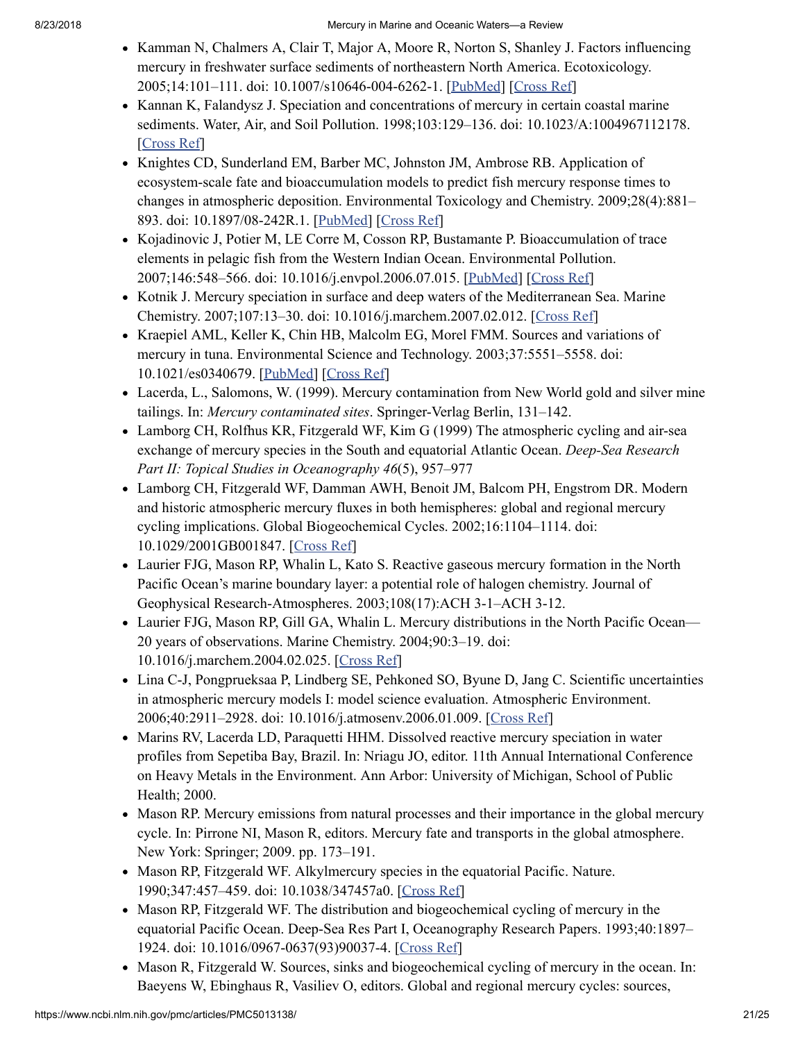- <span id="page-20-11"></span>• Kamman N, Chalmers A, Clair T, Major A, Moore R, Norton S, Shanley J. Factors influencing mercury in freshwater surface sediments of northeastern North America. Ecotoxicology. 2005;14:101–111. doi: 10.1007/s10646-004-6262-1. [\[PubMed\]](https://www.ncbi.nlm.nih.gov/pubmed/15931961) [\[Cross](https://dx.doi.org/10.1007%2Fs10646-004-6262-1) Ref]
- <span id="page-20-10"></span>• Kannan K, Falandysz J. Speciation and concentrations of mercury in certain coastal marine sediments. Water, Air, and Soil Pollution. 1998;103:129–136. doi: 10.1023/A:1004967112178. [\[Cross](https://dx.doi.org/10.1023%2FA%3A1004967112178) Ref]
- <span id="page-20-14"></span>• Knightes CD, Sunderland EM, Barber MC, Johnston JM, Ambrose RB. Application of ecosystem-scale fate and bioaccumulation models to predict fish mercury response times to changes in atmospheric deposition. Environmental Toxicology and Chemistry. 2009;28(4):881– 893. doi: 10.1897/08-242R.1. [\[PubMed](https://www.ncbi.nlm.nih.gov/pubmed/19391686)] [[Cross](https://dx.doi.org/10.1897%2F08-242R.1) Ref]
- <span id="page-20-13"></span>• Kojadinovic J, Potier M, LE Corre M, Cosson RP, Bustamante P. Bioaccumulation of trace elements in pelagic fish from the Western Indian Ocean. Environmental Pollution. 2007;146:548–566. doi: 10.1016/j.envpol.2006.07.015. [\[PubMed](https://www.ncbi.nlm.nih.gov/pubmed/17084003)] [\[Cross](https://dx.doi.org/10.1016%2Fj.envpol.2006.07.015) Ref]
- Kotnik J. Mercury speciation in surface and deep waters of the Mediterranean Sea. Marine Chemistry. 2007;107:13–30. doi: 10.1016/j.marchem.2007.02.012. [[Cross](https://dx.doi.org/10.1016%2Fj.marchem.2007.02.012) Ref]
- <span id="page-20-7"></span>Kraepiel AML, Keller K, Chin HB, Malcolm EG, Morel FMM. Sources and variations of mercury in tuna. Environmental Science and Technology. 2003;37:5551–5558. doi: 10.1021/es0340679. [[PubMed\]](https://www.ncbi.nlm.nih.gov/pubmed/14717163) [[Cross](https://dx.doi.org/10.1021%2Fes0340679) Ref]
- <span id="page-20-12"></span>Lacerda, L., Salomons, W. (1999). Mercury contamination from New World gold and silver mine tailings. In: *Mercury contaminated sites*. Springer-Verlag Berlin, 131–142.
- <span id="page-20-4"></span>Lamborg CH, Rolfhus KR, Fitzgerald WF, Kim G (1999) The atmospheric cycling and air-sea exchange of mercury species in the South and equatorial Atlantic Ocean. *Deep-Sea Research Part II: Topical Studies in Oceanography 46*(5), 957–977
- <span id="page-20-2"></span>Lamborg CH, Fitzgerald WF, Damman AWH, Benoit JM, Balcom PH, Engstrom DR. Modern and historic atmospheric mercury fluxes in both hemispheres: global and regional mercury cycling implications. Global Biogeochemical Cycles. 2002;16:1104–1114. doi: 10.1029/2001GB001847. [[Cross](https://dx.doi.org/10.1029%2F2001GB001847) Ref]
- <span id="page-20-5"></span>Laurier FJG, Mason RP, Whalin L, Kato S. Reactive gaseous mercury formation in the North Pacific Ocean's marine boundary layer: a potential role of halogen chemistry. Journal of Geophysical Research-Atmospheres. 2003;108(17):ACH 3-1–ACH 3-12.
- <span id="page-20-6"></span>Laurier FJG, Mason RP, Gill GA, Whalin L. Mercury distributions in the North Pacific Ocean— 20 years of observations. Marine Chemistry. 2004;90:3–19. doi: 10.1016/j.marchem.2004.02.025. [\[Cross](https://dx.doi.org/10.1016%2Fj.marchem.2004.02.025) Ref]
- <span id="page-20-1"></span>Lina C-J, Pongprueksaa P, Lindberg SE, Pehkoned SO, Byune D, Jang C. Scientific uncertainties in atmospheric mercury models I: model science evaluation. Atmospheric Environment. 2006;40:2911–2928. doi: 10.1016/j.atmosenv.2006.01.009. [\[Cross](https://dx.doi.org/10.1016%2Fj.atmosenv.2006.01.009) Ref]
- Marins RV, Lacerda LD, Paraquetti HHM. Dissolved reactive mercury speciation in water profiles from Sepetiba Bay, Brazil. In: Nriagu JO, editor. 11th Annual International Conference on Heavy Metals in the Environment. Ann Arbor: University of Michigan, School of Public Health; 2000.
- <span id="page-20-0"></span>• Mason RP. Mercury emissions from natural processes and their importance in the global mercury cycle. In: Pirrone NI, Mason R, editors. Mercury fate and transports in the global atmosphere. New York: Springer; 2009. pp. 173–191.
- <span id="page-20-8"></span>Mason RP, Fitzgerald WF. Alkylmercury species in the equatorial Pacific. Nature. 1990;347:457–459. doi: 10.1038/347457a0. [[Cross](https://dx.doi.org/10.1038%2F347457a0) Ref]
- <span id="page-20-3"></span>• Mason RP, Fitzgerald WF. The distribution and biogeochemical cycling of mercury in the equatorial Pacific Ocean. Deep-Sea Res Part I, Oceanography Research Papers. 1993;40:1897– 1924. doi: 10.1016/0967-0637(93)90037-4. [\[Cross](https://dx.doi.org/10.1016%2F0967-0637(93)90037-4) Ref]
- <span id="page-20-9"></span>• Mason R, Fitzgerald W. Sources, sinks and biogeochemical cycling of mercury in the ocean. In: Baeyens W, Ebinghaus R, Vasiliev O, editors. Global and regional mercury cycles: sources,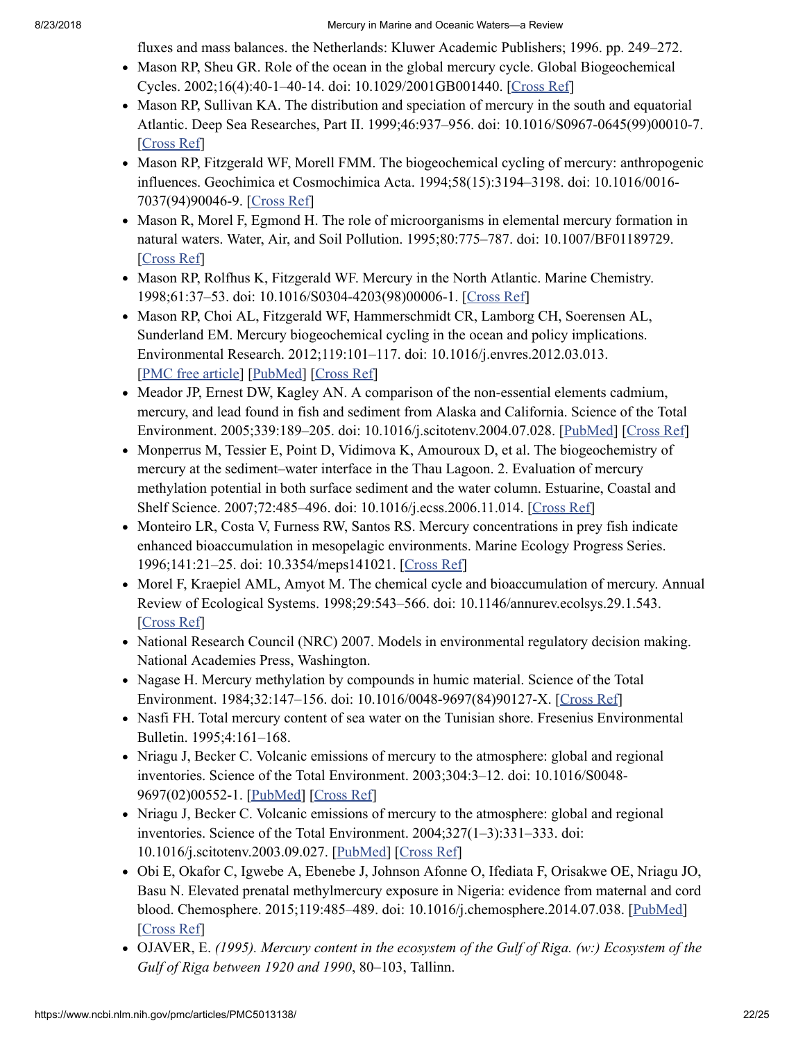fluxes and mass balances. the Netherlands: Kluwer Academic Publishers; 1996. pp. 249–272.

- <span id="page-21-7"></span>• Mason RP, Sheu GR. Role of the ocean in the global mercury cycle. Global Biogeochemical Cycles. 2002;16(4):40-1–40-14. doi: 10.1029/2001GB001440. [\[Cross](https://dx.doi.org/10.1029%2F2001GB001440) Ref]
- Mason RP, Sullivan KA. The distribution and speciation of mercury in the south and equatorial Atlantic. Deep Sea Researches, Part II. 1999;46:937–956. doi: 10.1016/S0967-0645(99)00010-7. [\[Cross](https://dx.doi.org/10.1016%2FS0967-0645(99)00010-7) Ref]
- <span id="page-21-3"></span>• Mason RP, Fitzgerald WF, Morell FMM. The biogeochemical cycling of mercury: anthropogenic influences. Geochimica et Cosmochimica Acta. 1994;58(15):3194–3198. doi: 10.1016/0016- 7037(94)90046-9. [\[Cross](https://dx.doi.org/10.1016%2F0016-7037(94)90046-9) Ref]
- <span id="page-21-6"></span>• Mason R, Morel F, Egmond H. The role of microorganisms in elemental mercury formation in natural waters. Water, Air, and Soil Pollution. 1995;80:775–787. doi: 10.1007/BF01189729. [\[Cross](https://dx.doi.org/10.1007%2FBF01189729) Ref]
- <span id="page-21-8"></span>• Mason RP, Rolfhus K, Fitzgerald WF. Mercury in the North Atlantic. Marine Chemistry. 1998;61:37–53. doi: 10.1016/S0304-4203(98)00006-1. [\[Cross](https://dx.doi.org/10.1016%2FS0304-4203(98)00006-1) Ref]
- <span id="page-21-15"></span>• Mason RP, Choi AL, Fitzgerald WF, Hammerschmidt CR, Lamborg CH, Soerensen AL, Sunderland EM. Mercury biogeochemical cycling in the ocean and policy implications. Environmental Research. 2012;119:101–117. doi: 10.1016/j.envres.2012.03.013. [PMC free [article](https://www.ncbi.nlm.nih.gov/pmc/articles/PMC3427470/)] [\[PubMed](https://www.ncbi.nlm.nih.gov/pubmed/22559948)] [[Cross](https://dx.doi.org/10.1016%2Fj.envres.2012.03.013) Ref]
- <span id="page-21-13"></span>• Meador JP, Ernest DW, Kagley AN. A comparison of the non-essential elements cadmium, mercury, and lead found in fish and sediment from Alaska and California. Science of the Total Environment. 2005;339:189–205. doi: 10.1016/j.scitotenv.2004.07.028. [\[PubMed\]](https://www.ncbi.nlm.nih.gov/pubmed/15740769) [[Cross](https://dx.doi.org/10.1016%2Fj.scitotenv.2004.07.028) Ref]
- <span id="page-21-10"></span>• Monperrus M, Tessier E, Point D, Vidimova K, Amouroux D, et al. The biogeochemistry of mercury at the sediment–water interface in the Thau Lagoon. 2. Evaluation of mercury methylation potential in both surface sediment and the water column. Estuarine, Coastal and Shelf Science. 2007;72:485–496. doi: 10.1016/j.ecss.2006.11.014. [\[Cross](https://dx.doi.org/10.1016%2Fj.ecss.2006.11.014) Ref]
- <span id="page-21-12"></span>• Monteiro LR, Costa V, Furness RW, Santos RS. Mercury concentrations in prey fish indicate enhanced bioaccumulation in mesopelagic environments. Marine Ecology Progress Series. 1996;141:21–25. doi: 10.3354/meps141021. [[Cross](https://dx.doi.org/10.3354%2Fmeps141021) Ref]
- <span id="page-21-2"></span>• Morel F, Kraepiel AML, Amyot M. The chemical cycle and bioaccumulation of mercury. Annual Review of Ecological Systems. 1998;29:543–566. doi: 10.1146/annurev.ecolsys.29.1.543. [\[Cross](https://dx.doi.org/10.1146%2Fannurev.ecolsys.29.1.543) Ref]
- <span id="page-21-14"></span>• National Research Council (NRC) 2007. Models in environmental regulatory decision making. National Academies Press, Washington.
- <span id="page-21-5"></span>Nagase H. Mercury methylation by compounds in humic material. Science of the Total Environment. 1984;32:147–156. doi: 10.1016/0048-9697(84)90127-X. [\[Cross](https://dx.doi.org/10.1016%2F0048-9697(84)90127-X) Ref]
- <span id="page-21-9"></span>• Nasfi FH. Total mercury content of sea water on the Tunisian shore. Fresenius Environmental Bulletin. 1995;4:161–168.
- <span id="page-21-0"></span>• Nriagu J, Becker C. Volcanic emissions of mercury to the atmosphere: global and regional inventories. Science of the Total Environment. 2003;304:3–12. doi: 10.1016/S0048- 9697(02)00552-1. [\[PubMed\]](https://www.ncbi.nlm.nih.gov/pubmed/12663167) [\[Cross](https://dx.doi.org/10.1016%2FS0048-9697(02)00552-1) Ref]
- <span id="page-21-1"></span>Nriagu J, Becker C. Volcanic emissions of mercury to the atmosphere: global and regional inventories. Science of the Total Environment. 2004;327(1–3):331–333. doi: 10.1016/j.scitotenv.2003.09.027. [[PubMed\]](https://www.ncbi.nlm.nih.gov/pubmed/15172590) [[Cross](https://dx.doi.org/10.1016%2Fj.scitotenv.2003.09.027) Ref]
- <span id="page-21-4"></span>Obi E, Okafor C, Igwebe A, Ebenebe J, Johnson Afonne O, Ifediata F, Orisakwe OE, Nriagu JO, Basu N. Elevated prenatal methylmercury exposure in Nigeria: evidence from maternal and cord blood. Chemosphere. 2015;119:485-489. doi: 10.1016/j.chemosphere.2014.07.038. [[PubMed](https://www.ncbi.nlm.nih.gov/pubmed/25112573)] [\[Cross](https://dx.doi.org/10.1016%2Fj.chemosphere.2014.07.038) Ref]
- <span id="page-21-11"></span>OJAVER, E. *(1995). Mercury content in the ecosystem of the Gulf of Riga. (w:) Ecosystem of the Gulf of Riga between 1920 and 1990*, 80–103, Tallinn.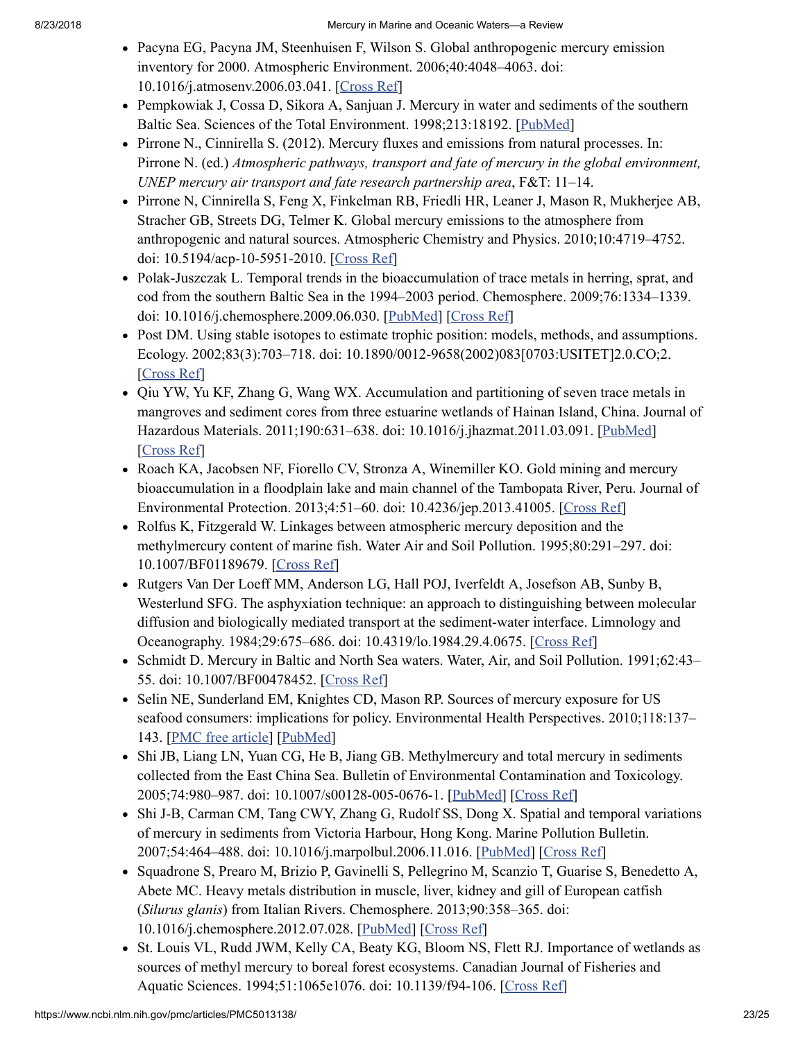- <span id="page-22-2"></span>Pacyna EG, Pacyna JM, Steenhuisen F, Wilson S. Global anthropogenic mercury emission inventory for 2000. Atmospheric Environment. 2006;40:4048–4063. doi: 10.1016/j.atmosenv.2006.03.041. [[Cross](https://dx.doi.org/10.1016%2Fj.atmosenv.2006.03.041) Ref]
- <span id="page-22-4"></span>Pempkowiak J, Cossa D, Sikora A, Sanjuan J. Mercury in water and sediments of the southern Baltic Sea. Sciences of the Total Environment. 1998;213:18192. [\[PubMed](https://www.ncbi.nlm.nih.gov/pubmed/9652127)]
- <span id="page-22-1"></span>Pirrone N., Cinnirella S. (2012). Mercury fluxes and emissions from natural processes. In: Pirrone N. (ed.) *Atmospheric pathways, transport and fate of mercury in the global environment, UNEP mercury air transport and fate research partnership area*, F&T: 11–14.
- <span id="page-22-0"></span>Pirrone N, Cinnirella S, Feng X, Finkelman RB, Friedli HR, Leaner J, Mason R, Mukherjee AB, Stracher GB, Streets DG, Telmer K. Global mercury emissions to the atmosphere from anthropogenic and natural sources. Atmospheric Chemistry and Physics. 2010;10:4719–4752. doi: 10.5194/acp-10-5951-2010. [\[Cross](https://dx.doi.org/10.5194%2Facp-10-5951-2010) Ref]
- <span id="page-22-14"></span>Polak-Juszczak L. Temporal trends in the bioaccumulation of trace metals in herring, sprat, and cod from the southern Baltic Sea in the 1994–2003 period. Chemosphere. 2009;76:1334–1339. doi: 10.1016/j.chemosphere.2009.06.030. [\[PubMed](https://www.ncbi.nlm.nih.gov/pubmed/19580989)] [\[Cross](https://dx.doi.org/10.1016%2Fj.chemosphere.2009.06.030) Ref]
- <span id="page-22-12"></span>• Post DM. Using stable isotopes to estimate trophic position: models, methods, and assumptions. Ecology. 2002;83(3):703–718. doi: 10.1890/0012-9658(2002)083[0703:USITET]2.0.CO;2. [\[Cross](https://dx.doi.org/10.1890%2F0012-9658(2002)083%5B0703%3AUSITET%5D2.0.CO%3B2) Ref]
- <span id="page-22-10"></span>• Qiu YW, Yu KF, Zhang G, Wang WX. Accumulation and partitioning of seven trace metals in mangroves and sediment cores from three estuarine wetlands of Hainan Island, China. Journal of Hazardous Materials. 2011;190:631–638. doi: 10.1016/j.jhazmat.2011.03.091. [\[PubMed\]](https://www.ncbi.nlm.nih.gov/pubmed/21501926) [\[Cross](https://dx.doi.org/10.1016%2Fj.jhazmat.2011.03.091) Ref]
- <span id="page-22-13"></span>• Roach KA, Jacobsen NF, Fiorello CV, Stronza A, Winemiller KO. Gold mining and mercury bioaccumulation in a floodplain lake and main channel of the Tambopata River, Peru. Journal of Environmental Protection. 2013;4:51–60. doi: 10.4236/jep.2013.41005. [[Cross](https://dx.doi.org/10.4236%2Fjep.2013.41005) Ref]
- <span id="page-22-6"></span>Rolfus K, Fitzgerald W. Linkages between atmospheric mercury deposition and the methylmercury content of marine fish. Water Air and Soil Pollution. 1995;80:291–297. doi: 10.1007/BF01189679. [\[Cross](https://dx.doi.org/10.1007%2FBF01189679) Ref]
- <span id="page-22-9"></span>Rutgers Van Der Loeff MM, Anderson LG, Hall POJ, Iverfeldt A, Josefson AB, Sunby B, Westerlund SFG. The asphyxiation technique: an approach to distinguishing between molecular diffusion and biologically mediated transport at the sediment-water interface. Limnology and Oceanography. 1984;29:675–686. doi: 10.4319/lo.1984.29.4.0675. [[Cross](https://dx.doi.org/10.4319%2Flo.1984.29.4.0675) Ref]
- <span id="page-22-5"></span>• Schmidt D. Mercury in Baltic and North Sea waters. Water, Air, and Soil Pollution. 1991;62:43– 55. doi: 10.1007/BF00478452. [[Cross](https://dx.doi.org/10.1007%2FBF00478452) Ref]
- <span id="page-22-15"></span>• Selin NE, Sunderland EM, Knightes CD, Mason RP. Sources of mercury exposure for US seafood consumers: implications for policy. Environmental Health Perspectives. 2010;118:137– 143. [PMC free [article\]](https://www.ncbi.nlm.nih.gov/pmc/articles/PMC2831958/) [\[PubMed\]](https://www.ncbi.nlm.nih.gov/pubmed/20056570)
- <span id="page-22-8"></span>• Shi JB, Liang LN, Yuan CG, He B, Jiang GB. Methylmercury and total mercury in sediments collected from the East China Sea. Bulletin of Environmental Contamination and Toxicology. 2005;74:980–987. doi: 10.1007/s00128-005-0676-1. [\[PubMed](https://www.ncbi.nlm.nih.gov/pubmed/16097335)] [[Cross](https://dx.doi.org/10.1007%2Fs00128-005-0676-1) Ref]
- <span id="page-22-7"></span>• Shi J-B, Carman CM, Tang CWY, Zhang G, Rudolf SS, Dong X. Spatial and temporal variations of mercury in sediments from Victoria Harbour, Hong Kong. Marine Pollution Bulletin. 2007;54:464–488. doi: 10.1016/j.marpolbul.2006.11.016. [[PubMed\]](https://www.ncbi.nlm.nih.gov/pubmed/17239905) [\[Cross](https://dx.doi.org/10.1016%2Fj.marpolbul.2006.11.016) Ref]
- <span id="page-22-11"></span>• Squadrone S, Prearo M, Brizio P, Gavinelli S, Pellegrino M, Scanzio T, Guarise S, Benedetto A, Abete MC. Heavy metals distribution in muscle, liver, kidney and gill of European catfish (*Silurus glanis*) from Italian Rivers. Chemosphere. 2013;90:358–365. doi: 10.1016/j.chemosphere.2012.07.028. [\[PubMed](https://www.ncbi.nlm.nih.gov/pubmed/22901372)] [\[Cross](https://dx.doi.org/10.1016%2Fj.chemosphere.2012.07.028) Ref]
- <span id="page-22-3"></span>St. Louis VL, Rudd JWM, Kelly CA, Beaty KG, Bloom NS, Flett RJ. Importance of wetlands as sources of methyl mercury to boreal forest ecosystems. Canadian Journal of Fisheries and Aquatic Sciences. 1994;51:1065e1076. doi: 10.1139/f94-106. [\[Cross](https://dx.doi.org/10.1139%2Ff94-106) Ref]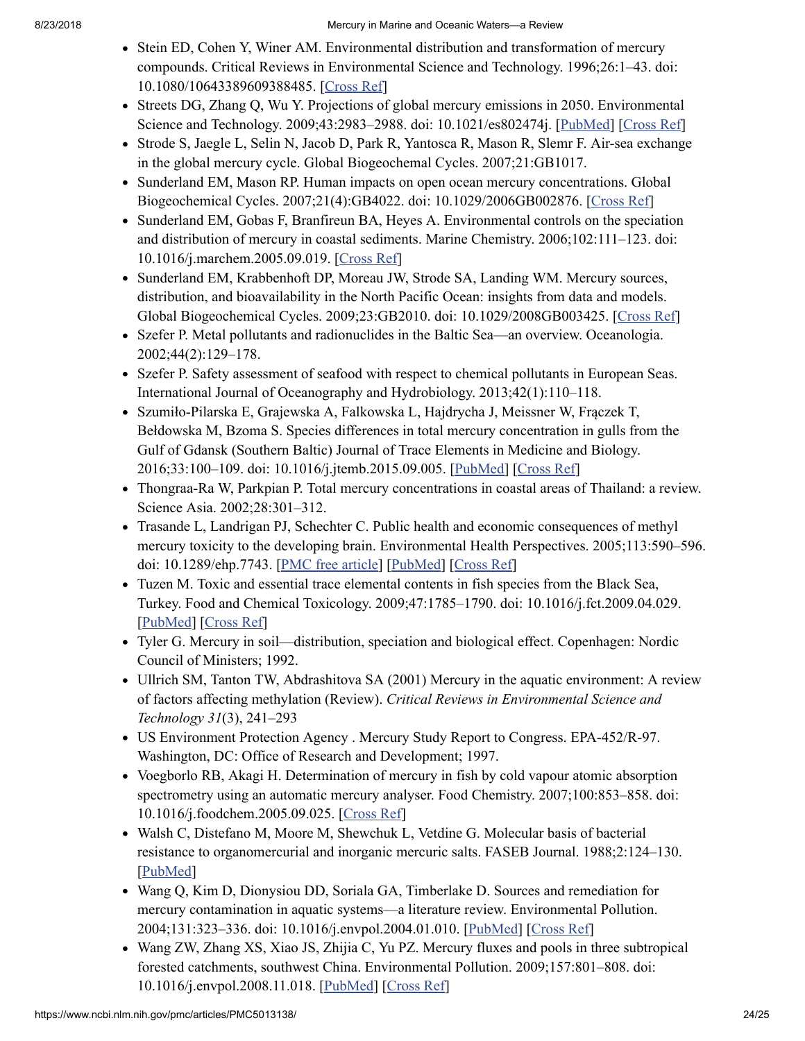- <span id="page-23-13"></span>• Stein ED, Cohen Y, Winer AM. Environmental distribution and transformation of mercury compounds. Critical Reviews in Environmental Science and Technology. 1996;26:1–43. doi: 10.1080/10643389609388485. [\[Cross](https://dx.doi.org/10.1080%2F10643389609388485) Ref]
- <span id="page-23-2"></span>Streets DG, Zhang Q, Wu Y. Projections of global mercury emissions in 2050. Environmental Science and Technology. 2009;43:2983–2988. doi: 10.1021/es802474j. [[PubMed](https://www.ncbi.nlm.nih.gov/pubmed/19475981)] [\[Cross](https://dx.doi.org/10.1021%2Fes802474j) Ref]
- <span id="page-23-8"></span>• Strode S, Jaegle L, Selin N, Jacob D, Park R, Yantosca R, Mason R, Slemr F. Air-sea exchange in the global mercury cycle. Global Biogeochemal Cycles. 2007;21:GB1017.
- <span id="page-23-9"></span>• Sunderland EM, Mason RP. Human impacts on open ocean mercury concentrations. Global Biogeochemical Cycles. 2007;21(4):GB4022. doi: 10.1029/2006GB002876. [[Cross](https://dx.doi.org/10.1029%2F2006GB002876) Ref]
- <span id="page-23-12"></span>• Sunderland EM, Gobas F, Branfireun BA, Heyes A, Environmental controls on the speciation and distribution of mercury in coastal sediments. Marine Chemistry. 2006;102:111–123. doi: 10.1016/j.marchem.2005.09.019. [\[Cross](https://dx.doi.org/10.1016%2Fj.marchem.2005.09.019) Ref]
- <span id="page-23-10"></span>• Sunderland EM, Krabbenhoft DP, Moreau JW, Strode SA, Landing WM. Mercury sources, distribution, and bioavailability in the North Pacific Ocean: insights from data and models. Global Biogeochemical Cycles. 2009;23:GB2010. doi: 10.1029/2008GB003425. [[Cross](https://dx.doi.org/10.1029%2F2008GB003425) Ref]
- <span id="page-23-14"></span>Szefer P. Metal pollutants and radionuclides in the Baltic Sea—an overview. Oceanologia. 2002;44(2):129–178.
- <span id="page-23-4"></span>Szefer P. Safety assessment of seafood with respect to chemical pollutants in European Seas. International Journal of Oceanography and Hydrobiology. 2013;42(1):110–118.
- <span id="page-23-11"></span>Szumiło-Pilarska E, Grajewska A, Falkowska L, Hajdrycha J, Meissner W, Frączek T, Bełdowska M, Bzoma S. Species differences in total mercury concentration in gulls from the Gulf of Gdansk (Southern Baltic) Journal of Trace Elements in Medicine and Biology. 2016;33:100–109. doi: 10.1016/j.jtemb.2015.09.005. [\[PubMed\]](https://www.ncbi.nlm.nih.gov/pubmed/26653750) [[Cross](https://dx.doi.org/10.1016%2Fj.jtemb.2015.09.005) Ref]
- Thongraa-Ra W, Parkpian P. Total mercury concentrations in coastal areas of Thailand: a review. Science Asia. 2002;28:301–312.
- <span id="page-23-5"></span>Trasande L, Landrigan PJ, Schechter C. Public health and economic consequences of methyl mercury toxicity to the developing brain. Environmental Health Perspectives. 2005;113:590–596. doi: 10.1289/ehp.7743. [PMC free [article\]](https://www.ncbi.nlm.nih.gov/pmc/articles/PMC1257552/) [[PubMed\]](https://www.ncbi.nlm.nih.gov/pubmed/15866768) [\[Cross](https://dx.doi.org/10.1289%2Fehp.7743) Ref]
- <span id="page-23-16"></span>Tuzen M. Toxic and essential trace elemental contents in fish species from the Black Sea, Turkey. Food and Chemical Toxicology. 2009;47:1785–1790. doi: 10.1016/j.fct.2009.04.029. [\[PubMed\]](https://www.ncbi.nlm.nih.gov/pubmed/19406195) [[Cross](https://dx.doi.org/10.1016%2Fj.fct.2009.04.029) Ref]
- <span id="page-23-0"></span>Tyler G. Mercury in soil—distribution, speciation and biological effect. Copenhagen: Nordic Council of Ministers; 1992.
- <span id="page-23-3"></span>Ullrich SM, Tanton TW, Abdrashitova SA (2001) Mercury in the aquatic environment: A review of factors affecting methylation (Review). *Critical Reviews in Environmental Science and Technology 31*(3), 241–293
- <span id="page-23-1"></span>US Environment Protection Agency . Mercury Study Report to Congress. EPA-452/R-97. Washington, DC: Office of Research and Development; 1997.
- <span id="page-23-15"></span>• Voegborlo RB, Akagi H. Determination of mercury in fish by cold vapour atomic absorption spectrometry using an automatic mercury analyser. Food Chemistry. 2007;100:853–858. doi: 10.1016/j.foodchem.2005.09.025. [\[Cross](https://dx.doi.org/10.1016%2Fj.foodchem.2005.09.025) Ref]
- <span id="page-23-6"></span>Walsh C, Distefano M, Moore M, Shewchuk L, Vetdine G. Molecular basis of bacterial resistance to organomercurial and inorganic mercuric salts. FASEB Journal. 1988;2:124–130. [\[PubMed\]](https://www.ncbi.nlm.nih.gov/pubmed/3277886)
- <span id="page-23-7"></span>Wang Q, Kim D, Dionysiou DD, Soriala GA, Timberlake D. Sources and remediation for mercury contamination in aquatic systems—a literature review. Environmental Pollution. 2004;131:323–336. doi: 10.1016/j.envpol.2004.01.010. [\[PubMed](https://www.ncbi.nlm.nih.gov/pubmed/15234099)] [\[Cross](https://dx.doi.org/10.1016%2Fj.envpol.2004.01.010) Ref]
- Wang ZW, Zhang XS, Xiao JS, Zhijia C, Yu PZ. Mercury fluxes and pools in three subtropical forested catchments, southwest China. Environmental Pollution. 2009;157:801–808. doi: 10.1016/j.envpol.2008.11.018. [[PubMed](https://www.ncbi.nlm.nih.gov/pubmed/19121554)] [[Cross](https://dx.doi.org/10.1016%2Fj.envpol.2008.11.018) Ref]